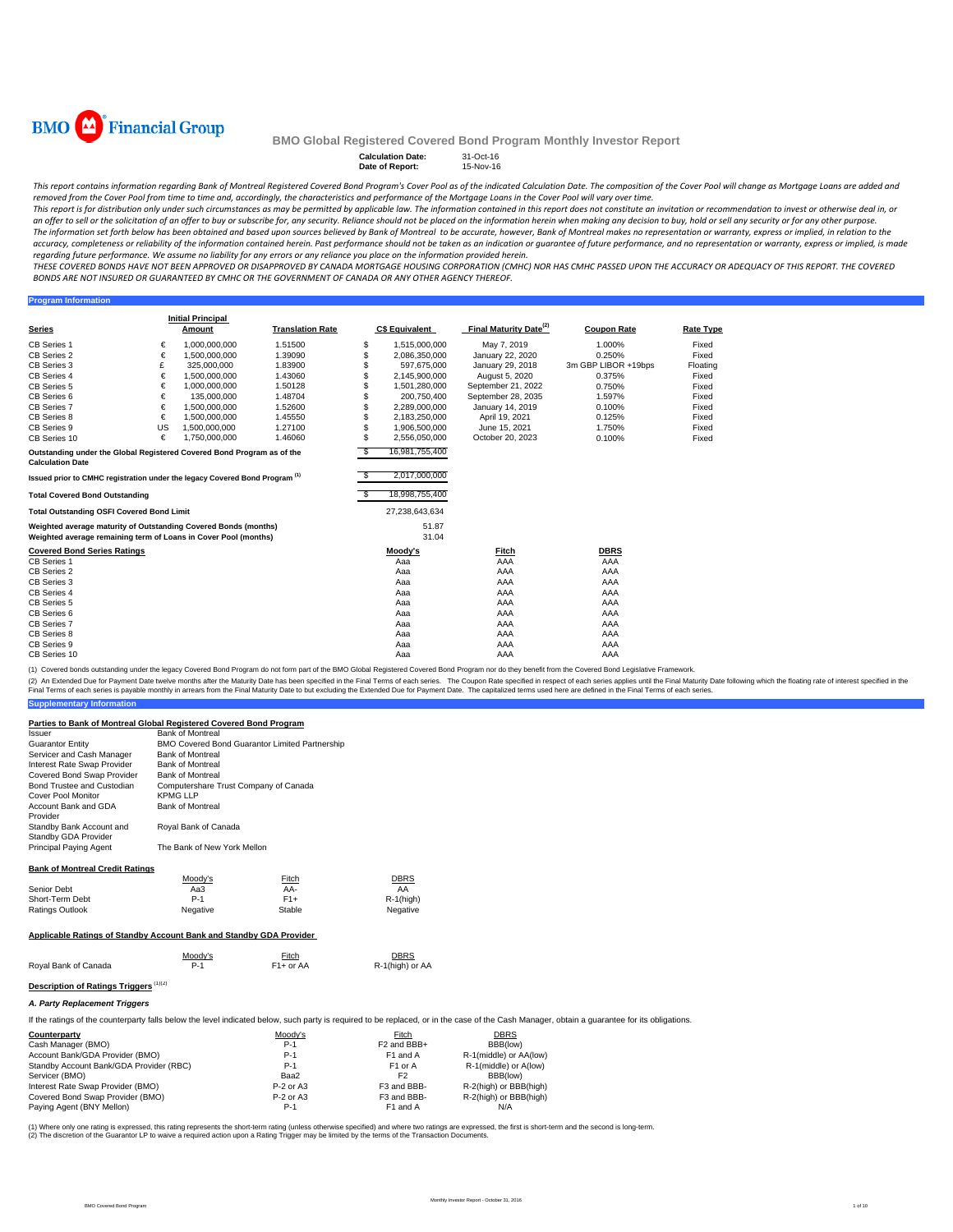

**Program Information**

#### **BMO Global Registered Covered Bond Program Monthly Investor Report**

#### **Calculation Date:** 31-Oct-16 **Date of Report:** 15-Nov-16

This report contains information regarding Bank of Montreal Registered Covered Bond Program's Cover Pool as of the indicated Calculation Date. The composition of the Cover Pool will change as Mortgage Loans are added and removed from the Cover Pool from time to time and, accordingly, the characteristics and performance of the Mortgage Loans in the Cover Pool will vary over time.

This report is for distribution only under such circumstances as may be permitted by applicable law. The information contained in this report does not constitute an invitation or recommendation to invest or otherwise deal an offer to sell or the solicitation of an offer to buy or subscribe for, any security. Reliance should not be placed on the information herein when making any decision to buy, hold or sell any security or for any other pu The information set forth below has been obtained and based upon sources believed by Bank of Montreal to be accurate, however, Bank of Montreal makes no representation or warranty, express or implied, in relation to the accuracy, completeness or reliability of the information contained herein. Past performance should not be taken as an indication or guarantee of future performance, and no representation or warranty, express or implied, is regarding future performance. We assume no liability for any errors or any reliance you place on the information provided herein.

THESE COVERED BONDS HAVE NOT BEEN APPROVED OR DISAPPROVED BY CANADA MORTGAGE HOUSING CORPORATION (CMHC) NOR HAS CMHC PASSED UPON THE ACCURACY OR ADEQUACY OF THIS REPORT. THE COVERED BONDS ARE NOT INSURED OR GUARANTEED BY CMHC OR THE GOVERNMENT OF CANADA OR ANY OTHER AGENCY THEREOF.

**Series Initial Principal C\$ Equivalent Final Maturity Date<sup>(2)</sup> Coupon Rate <b>Rate Type** CB Series 1 € 1,000,000,000 1.51500 \$ 1,515,000,000 May 7, 2019 1.000% Fixed CB Series 2 € 1,500,000,000 1.39090 \$ 2,086,350,000 January 22, 2020 0.250% Fixed CB Series 3 £ 325,000,000 1.83900 \$ 597,675,000 January 29, 2018 3m GBP LIBOR +19bps Floating CB Series 4 € 1,500,000,000 1.43060 \$ 2,145,900,000 August 5, 2020 0.375% Fixed CB Series 5 € 1,000,000,000 1.50128 \$ 1,501,280,000 September 21, 2022 0.750% Fixed<br>CB Series 6 € 135,000,000 1.48704 \$ 2,00,750,400 September 28, 2035 1.597% Fixed<br>CB Series 7 € 1.500,000,000 1.52600 \$ 2.289,000,000 Janu CB Series 6 € 135,000,000 1.48704 \$ 200,750,400 September 28, 2035 1.597% Fixed CB Series 7 € 1,500,000,000 1.52600 \$ 2,289,000,000 January 14, 2019 0.100% Fixed CB Series 8 € 1,500,000,000 1.45550 \$ 2,183,250,000 April 19, 2021 0.125% Fixed CB Series 9 1.27100 5 1,906,500,000 June 15, 2021 1.750% Fixed CB Series 10 € 1,750,000,000 1.46060 \$ 2,556,050,000 October 20, 2023 0.100% Fixed \$ 16,981,755,400 2,017,000,000 **Total Covered Bond Outstanding** \$ 18,998,755,400 **Total Outstanding OSFI Covered Bond Limit** 27,238,643,634 51.87 31.04 **Covered Bond Series Ratings Moody's Fitch DBRS** CB Series 1 Aaa AAA AAA CB Series 2 Aaa AAA AAA CB Series 3 Aaa AAA AAA CB Series 4 Aaa AAA AAA CB Series 5 Aaa AAA AAA CB Series 6 Aaa AAA AAA CB Series 7 Aaa AAA AAA CB Series 8 Aaa AAA AAA CB Series 9 Aaa AAA AAA CB Series 10 Aaa AAA AAA **Translation Rate Outstanding under the Global Registered Covered Bond Program as of the Calculation Date Issued prior to CMHC registration under the legacy Covered Bond Program (1)** US 1,500,000,000<br>€ 1,750,000,000 **Weighted average maturity of Outstanding Covered Bonds (months) Weighted average remaining term of Loans in Cover Pool (months)**

(1) Covered bonds outstanding under the legacy Covered Bond Program do not form part of the BMO Global Registered Covered Bond Program nor do they benefit from the Covered Bond Legislative Framework.

(2) An Extended Due for Payment Date twelve months after the Maturity Date has been specified in the Final Terms of each series. The Coupon Rate specified in the founded but expecified in the Extended Due for Payment Date.

# **Supplementary Information**

| Parties to Bank of Montreal Global Registered Covered Bond Program                                                  |                                       |                                                       |                 |  |  |  |
|---------------------------------------------------------------------------------------------------------------------|---------------------------------------|-------------------------------------------------------|-----------------|--|--|--|
| Issuer                                                                                                              | <b>Bank of Montreal</b>               |                                                       |                 |  |  |  |
| <b>Guarantor Entity</b>                                                                                             |                                       | <b>BMO Covered Bond Guarantor Limited Partnership</b> |                 |  |  |  |
| Servicer and Cash Manager                                                                                           | <b>Bank of Montreal</b>               |                                                       |                 |  |  |  |
| Interest Rate Swap Provider                                                                                         | <b>Bank of Montreal</b>               |                                                       |                 |  |  |  |
| Covered Bond Swap Provider                                                                                          | <b>Bank of Montreal</b>               |                                                       |                 |  |  |  |
| Bond Trustee and Custodian                                                                                          | Computershare Trust Company of Canada |                                                       |                 |  |  |  |
| Cover Pool Monitor                                                                                                  | <b>KPMG LLP</b>                       |                                                       |                 |  |  |  |
| Account Bank and GDA                                                                                                | <b>Bank of Montreal</b>               |                                                       |                 |  |  |  |
| Provider                                                                                                            |                                       |                                                       |                 |  |  |  |
| Standby Bank Account and                                                                                            | Royal Bank of Canada                  |                                                       |                 |  |  |  |
| Standby GDA Provider                                                                                                |                                       |                                                       |                 |  |  |  |
| Principal Paying Agent                                                                                              | The Bank of New York Mellon           |                                                       |                 |  |  |  |
| <b>Bank of Montreal Credit Ratings</b>                                                                              |                                       |                                                       |                 |  |  |  |
|                                                                                                                     | Moody's                               | Fitch                                                 | DBRS            |  |  |  |
| Senior Debt                                                                                                         | Aa3                                   | AA-                                                   | AA              |  |  |  |
| Short-Term Debt                                                                                                     | $P-1$                                 | $F1+$                                                 | R-1(high)       |  |  |  |
| Ratings Outlook                                                                                                     | Negative                              | Stable                                                | Negative        |  |  |  |
| Applicable Ratings of Standby Account Bank and Standby GDA Provider                                                 |                                       |                                                       |                 |  |  |  |
|                                                                                                                     | Moody's                               | Fitch                                                 | <b>DBRS</b>     |  |  |  |
| Royal Bank of Canada                                                                                                | $P-1$                                 | $F1+$ or AA                                           | R-1(high) or AA |  |  |  |
| Description of Ratings Triggers <sup>(1)(2)</sup>                                                                   |                                       |                                                       |                 |  |  |  |
| A. Party Replacement Triggers                                                                                       |                                       |                                                       |                 |  |  |  |
| If the ratings of the counterparty falls below the level indicated below, such party is required to be replaced, or |                                       |                                                       |                 |  |  |  |

**Counterparty** DBRS<br>
Cash Manager (BMO) Cash Moody's P-1 P2 and BBB+ BBB(low) Cash Manager (BMO)<br>
Cash Manager (BMO)<br>
Account Bank/GDA Provider (BMO)<br>
P-1 F1 and A R-1 (middle) or AA (low) Account Bank/GDA Provider (BMO) **P-1** F1 and A R-1(middle) or AA(low<br>
Standby Account Bank/GDA Provider (RBC) **P-1** F1 or A R-1(middle) or AA(low) Standby Account Bank/GDA Provider (RBC) **P-1** P-1 F1 or A R-1 (middle) or A<br>
Paa2 F2 BBB(low) Baa2 F2 BBB(low) Servicer (BMO) Baa2 F2 BBB(low) Interest Rate Swap Provider (BMO) <br>
P-2 or A3 F3 and BBB- R-2(high) or BBB(high)<br>
P-2 or A3 F3 and BBB- R-2(high) or BBB(high) Covered Bond Swap Provider (BMO) <br>
P-2 or A3 F3 and BBB- R-2(high) or B<br>
P-1 F1 and A N/A Paying Agent (BNY Mellon) P-1

(1) Where only one rating is expressed, this rating represents the short-term rating (unless otherwise specified) and where two ratings are expressed, the first is short-term and the second is long-term. (2) The discretion of the Guarantor LP to waive a required action upon a Rating Trigger may be limited by the terms of the Transaction Documents.

in the case of the Cash Manager, obtain a guarantee for its obligations.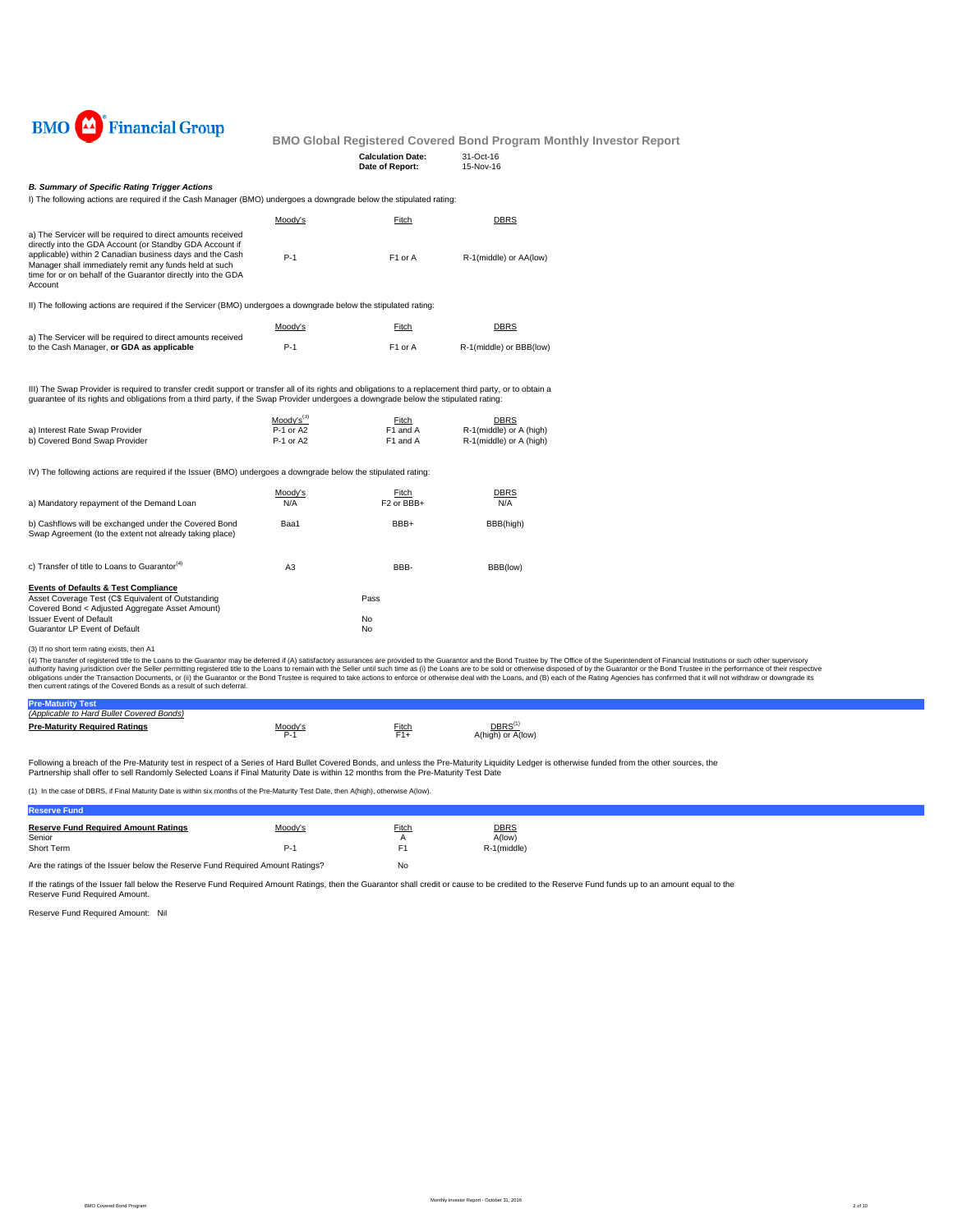

| <b>Calculation Date:</b> | 31-Oct-16 |
|--------------------------|-----------|
| Date of Report:          | 15-Nov-16 |
|                          |           |

## *B. Summary of Specific Rating Trigger Actions*

I) The following actions are required if the Cash Manager (BMO) undergoes a downgrade below the stipulated rating:

|                                                                                                                                                                                                                                                                                                                                                                                             | Moody's                | Fitch                                      | <b>DBRS</b>                                        |  |
|---------------------------------------------------------------------------------------------------------------------------------------------------------------------------------------------------------------------------------------------------------------------------------------------------------------------------------------------------------------------------------------------|------------------------|--------------------------------------------|----------------------------------------------------|--|
| a) The Servicer will be required to direct amounts received<br>directly into the GDA Account (or Standby GDA Account if<br>applicable) within 2 Canadian business days and the Cash<br>Manager shall immediately remit any funds held at such<br>time for or on behalf of the Guarantor directly into the GDA<br>Account                                                                    | $P-1$                  | F1 or A                                    | R-1(middle) or AA(low)                             |  |
| II) The following actions are required if the Servicer (BMO) undergoes a downgrade below the stipulated rating:                                                                                                                                                                                                                                                                             |                        |                                            |                                                    |  |
|                                                                                                                                                                                                                                                                                                                                                                                             | Moody's                | Fitch                                      | <b>DBRS</b>                                        |  |
| a) The Servicer will be required to direct amounts received<br>to the Cash Manager, or GDA as applicable                                                                                                                                                                                                                                                                                    | $P-1$                  | F1 or A                                    | R-1(middle) or BBB(low)                            |  |
| III) The Swap Provider is required to transfer credit support or transfer all of its rights and obligations to a replacement third party, or to obtain a<br>guarantee of its rights and obligations from a third party, if the Swap Provider undergoes a downgrade below the stipulated rating:                                                                                             |                        |                                            |                                                    |  |
|                                                                                                                                                                                                                                                                                                                                                                                             | $Mody's^{(3)}$         | Fitch                                      | <b>DBRS</b>                                        |  |
| a) Interest Rate Swap Provider<br>b) Covered Bond Swap Provider                                                                                                                                                                                                                                                                                                                             | P-1 or A2<br>P-1 or A2 | F1 and A<br>F1 and A                       | R-1(middle) or A (high)<br>R-1(middle) or A (high) |  |
| IV) The following actions are required if the Issuer (BMO) undergoes a downgrade below the stipulated rating:                                                                                                                                                                                                                                                                               |                        |                                            |                                                    |  |
| a) Mandatory repayment of the Demand Loan                                                                                                                                                                                                                                                                                                                                                   | Moody's<br>N/A         | Fitch<br>F <sub>2</sub> or BB <sub>H</sub> | <b>DBRS</b><br>N/A                                 |  |
| b) Cashflows will be exchanged under the Covered Bond<br>Swap Agreement (to the extent not already taking place)                                                                                                                                                                                                                                                                            | Baa1                   | BBB+                                       | BBB(high)                                          |  |
| c) Transfer of title to Loans to Guarantor <sup>(4)</sup>                                                                                                                                                                                                                                                                                                                                   | A <sub>3</sub>         | BBB-                                       | BBB(low)                                           |  |
| <b>Events of Defaults &amp; Test Compliance</b>                                                                                                                                                                                                                                                                                                                                             |                        |                                            |                                                    |  |
| Asset Coverage Test (C\$ Equivalent of Outstanding<br>Covered Bond < Adjusted Aggregate Asset Amount)                                                                                                                                                                                                                                                                                       |                        | Pass                                       |                                                    |  |
| <b>Issuer Event of Default</b>                                                                                                                                                                                                                                                                                                                                                              |                        | No                                         |                                                    |  |
| Guarantor LP Event of Default                                                                                                                                                                                                                                                                                                                                                               |                        | No                                         |                                                    |  |
| (3) If no short term rating exists, then A1                                                                                                                                                                                                                                                                                                                                                 |                        |                                            |                                                    |  |
| (4) The transfer of registered title to the Loans to the Guarantor may be deferred if (A) satisfactory assurances are provided to the Guarantor and the Bond Trustee by The Office of th<br>authority having jurisdiction over the Seller permitting registered title to the Loans to remain with the Seller until such time as (i) the Loans are to be sold or otherwise disposed of by th |                        |                                            |                                                    |  |

(3) If no short term rating exists, then A1<br>(4) The transfer of registered title to the Lalans to the Guarantor may be deferred if (A) satisfactory assurances are provided to the Guarantor and the Bond Trustee by The Offic

| (Applicable to Hard Bullet Covered Bonds) |              |          |                                        |
|-------------------------------------------|--------------|----------|----------------------------------------|
| <b>Pre-Maturity Required Ratings</b>      | loodv'<br>-- | $F$ itch | DBRS <sup>(</sup><br>A(high) or A(low) |

Following a breach of the Pre-Maturity test in respect of a Series of Hard Bullet Covered Bonds, and unless the Pre-Maturity Liquidity Ledger is otherwise funded from the other sources, the<br>Partnership shall offer to sell

(1) In the case of DBRS, if Final Maturity Date is within six months of the Pre-Maturity Test Date, then A(high), otherwise A(low).

| <b>Reserve Fund</b>                                                                         |         |          |                       |
|---------------------------------------------------------------------------------------------|---------|----------|-----------------------|
| <b>Reserve Fund Required Amount Ratings</b><br>Senior                                       | Moody's | Fitch    | <b>DBRS</b><br>A(low) |
| Short Term<br>Are the ratings of the Issuer below the Reserve Fund Reguired Amount Ratings? | P-'     | F1<br>No | R-1(middle)           |
|                                                                                             |         |          |                       |

If the ratings of the Issuer fall below the Reserve Fund Required Amount Ratings, then the Guarantor shall credit or cause to be credited to the Reserve Fund funds up to an amount equal to the

Reserve Fund Required Amount: Nil Reserve Fund Required Amount.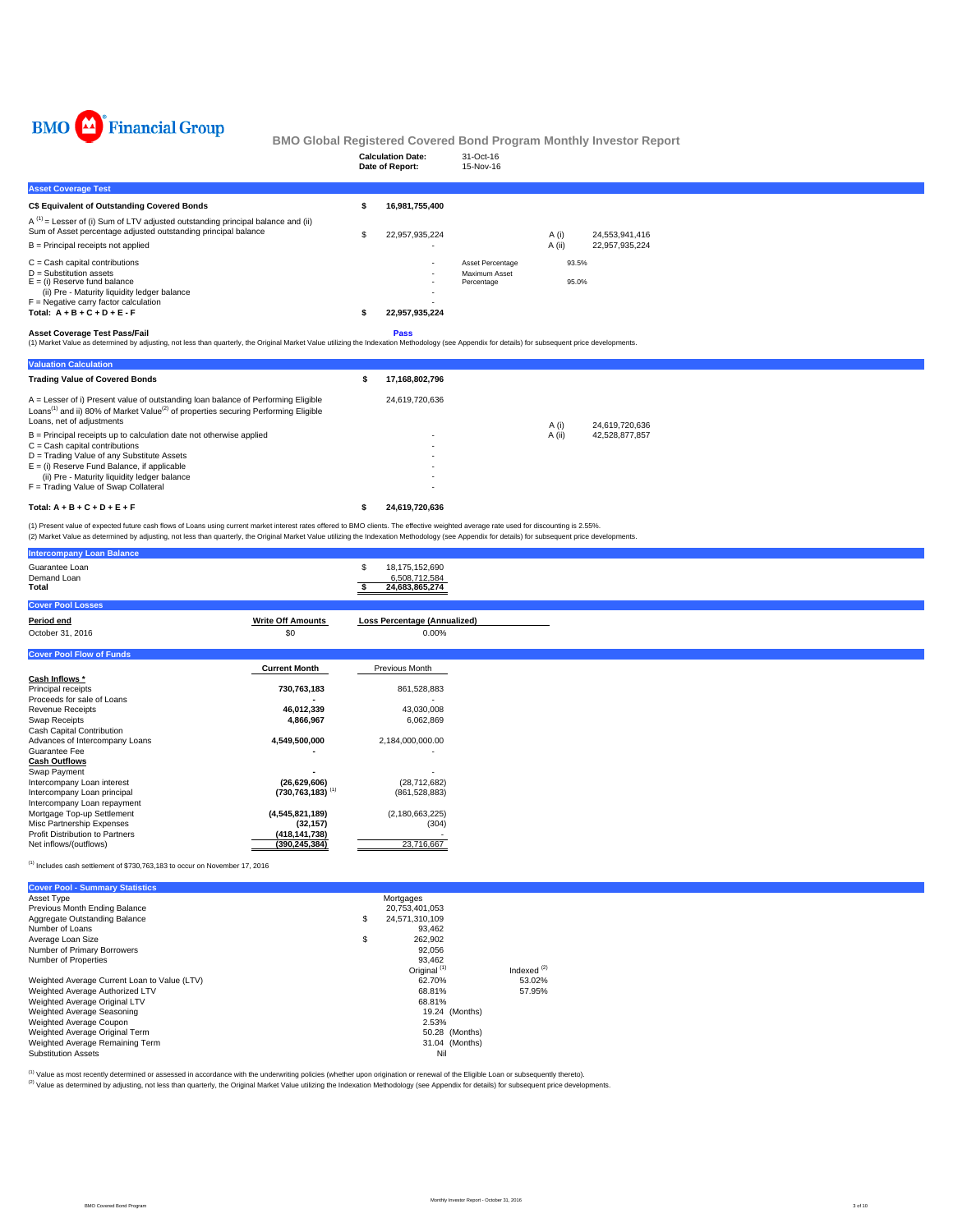

|                                                                                                                                                                                                                                                                                                                                                                                               |          | <b>Calculation Date:</b><br>Date of Report:       | 31-Oct-16<br>15-Nov-16                          |                |                |  |  |
|-----------------------------------------------------------------------------------------------------------------------------------------------------------------------------------------------------------------------------------------------------------------------------------------------------------------------------------------------------------------------------------------------|----------|---------------------------------------------------|-------------------------------------------------|----------------|----------------|--|--|
| <b>Asset Coverage Test</b>                                                                                                                                                                                                                                                                                                                                                                    |          |                                                   |                                                 |                |                |  |  |
| <b>C\$ Equivalent of Outstanding Covered Bonds</b>                                                                                                                                                                                                                                                                                                                                            | Ŝ        | 16,981,755,400                                    |                                                 |                |                |  |  |
| $A^{(1)}$ = Lesser of (i) Sum of LTV adjusted outstanding principal balance and (ii)<br>Sum of Asset percentage adjusted outstanding principal balance                                                                                                                                                                                                                                        | S        | 22,957,935,224                                    |                                                 | A(i)           | 24.553.941.416 |  |  |
| $B =$ Principal receipts not applied                                                                                                                                                                                                                                                                                                                                                          |          |                                                   |                                                 | A(ii)          | 22,957,935,224 |  |  |
| $C =$ Cash capital contributions<br>$D =$ Substitution assets<br>$E = (i)$ Reserve fund balance<br>(ii) Pre - Maturity liquidity ledger balance<br>$F =$ Negative carry factor calculation<br>Total: $A + B + C + D + E - F$                                                                                                                                                                  |          | 22,957,935,224                                    | Asset Percentage<br>Maximum Asset<br>Percentage | 93.5%<br>95.0% |                |  |  |
| <b>Asset Coverage Test Pass/Fail</b><br>(1) Market Value as determined by adjusting, not less than quarterly, the Original Market Value utilizing the Indexation Methodology (see Appendix for details) for subsequent price developments.                                                                                                                                                    |          | Pass                                              |                                                 |                |                |  |  |
| <b>Valuation Calculation</b>                                                                                                                                                                                                                                                                                                                                                                  |          |                                                   |                                                 |                |                |  |  |
| <b>Trading Value of Covered Bonds</b>                                                                                                                                                                                                                                                                                                                                                         | \$       | 17,168,802,796                                    |                                                 |                |                |  |  |
| A = Lesser of i) Present value of outstanding loan balance of Performing Eligible<br>Loans <sup>(1)</sup> and ii) 80% of Market Value <sup>(2)</sup> of properties securing Performing Eligible<br>Loans, net of adjustments                                                                                                                                                                  |          | 24,619,720,636                                    |                                                 | A (i)          | 24.619.720.636 |  |  |
| $B =$ Principal receipts up to calculation date not otherwise applied<br>$C = Cash$ capital contributions<br>D = Trading Value of any Substitute Assets<br>$E = (i)$ Reserve Fund Balance, if applicable<br>(ii) Pre - Maturity liquidity ledger balance<br>F = Trading Value of Swap Collateral                                                                                              |          |                                                   |                                                 | A (ii)         | 42,528,877,857 |  |  |
| Total: $A + B + C + D + E + F$                                                                                                                                                                                                                                                                                                                                                                | Ŝ.       | 24,619,720,636                                    |                                                 |                |                |  |  |
| (1) Present value of expected future cash flows of Loans using current market interest rates offered to BMO clients. The effective weighted average rate used for discounting is 2.55%.<br>(2) Market Value as determined by adjusting, not less than quarterly, the Original Market Value utilizing the Indexation Methodology (see Appendix for details) for subsequent price developments. |          |                                                   |                                                 |                |                |  |  |
| <b>Intercompany Loan Balance</b>                                                                                                                                                                                                                                                                                                                                                              |          |                                                   |                                                 |                |                |  |  |
| Guarantee Loan<br>Demand Loan<br>Total                                                                                                                                                                                                                                                                                                                                                        | \$<br>s. | 18,175,152,690<br>6,508,712,584<br>24.683.865.274 |                                                 |                |                |  |  |

| <b>Cover Pool Losses</b>        |                                  |                                     |
|---------------------------------|----------------------------------|-------------------------------------|
| Period end                      | <b>Write Off Amounts</b>         | <b>Loss Percentage (Annualized)</b> |
| October 31, 2016                | \$0                              | 0.00%                               |
|                                 |                                  |                                     |
| <b>Cover Pool Flow of Funds</b> |                                  |                                     |
|                                 | <b>Current Month</b>             | Previous Month                      |
| Cash Inflows *                  |                                  |                                     |
| Principal receipts              | 730,763,183                      | 861,528,883                         |
| Proceeds for sale of Loans      |                                  |                                     |
| Revenue Receipts                | 46,012,339                       | 43,030,008                          |
| Swap Receipts                   | 4,866,967                        | 6,062,869                           |
| Cash Capital Contribution       |                                  |                                     |
| Advances of Intercompany Loans  | 4,549,500,000                    | 2,184,000,000.00                    |
| Guarantee Fee                   |                                  |                                     |
| <b>Cash Outflows</b>            |                                  |                                     |
| Swap Payment                    |                                  |                                     |
| Intercompany Loan interest      | (26, 629, 606)                   | (28, 712, 682)                      |
| Intercompany Loan principal     | $(730, 763, 183)$ <sup>(1)</sup> | (861, 528, 883)                     |
| Intercompany Loan repayment     |                                  |                                     |
| Mortgage Top-up Settlement      | (4,545,821,189)                  | (2, 180, 663, 225)                  |
| Misc Partnership Expenses       | (32, 157)                        | (304)                               |
| Profit Distribution to Partners | (418, 141, 738)                  |                                     |
| Net inflows/(outflows)          | (390, 245, 384)                  | 23,716,667                          |
|                                 |                                  |                                     |

 $<sup>(1)</sup>$  Includes cash settlement of \$730,763,183 to occur on November 17, 2016</sup>

| <b>Cover Pool - Summary Statistics</b>       |                         |               |
|----------------------------------------------|-------------------------|---------------|
| Asset Type                                   | Mortgages               |               |
| Previous Month Ending Balance                | 20,753,401,053          |               |
| Aggregate Outstanding Balance                | \$<br>24.571.310.109    |               |
| Number of Loans                              | 93.462                  |               |
| Average Loan Size                            | \$<br>262.902           |               |
| Number of Primary Borrowers                  | 92.056                  |               |
| Number of Properties                         | 93.462                  |               |
|                                              | Original <sup>(1)</sup> | Indexed $(2)$ |
| Weighted Average Current Loan to Value (LTV) | 62.70%                  | 53.02%        |
| Weighted Average Authorized LTV              | 68.81%                  | 57.95%        |
| Weighted Average Original LTV                | 68.81%                  |               |
| Weighted Average Seasoning                   | 19.24 (Months)          |               |
| Weighted Average Coupon                      | 2.53%                   |               |
| Weighted Average Original Term               | 50.28 (Months)          |               |
| Weighted Average Remaining Term              | 31.04 (Months)          |               |
| <b>Substitution Assets</b>                   | Nil                     |               |

<sup>(t)</sup> Value as most recently determined or assessed in accordance with the underwriting policies (whether upon origination or renewal of the Eligible Loan or subsequently thereto).<br><sup>(2)</sup> Value as determined by adjusting, n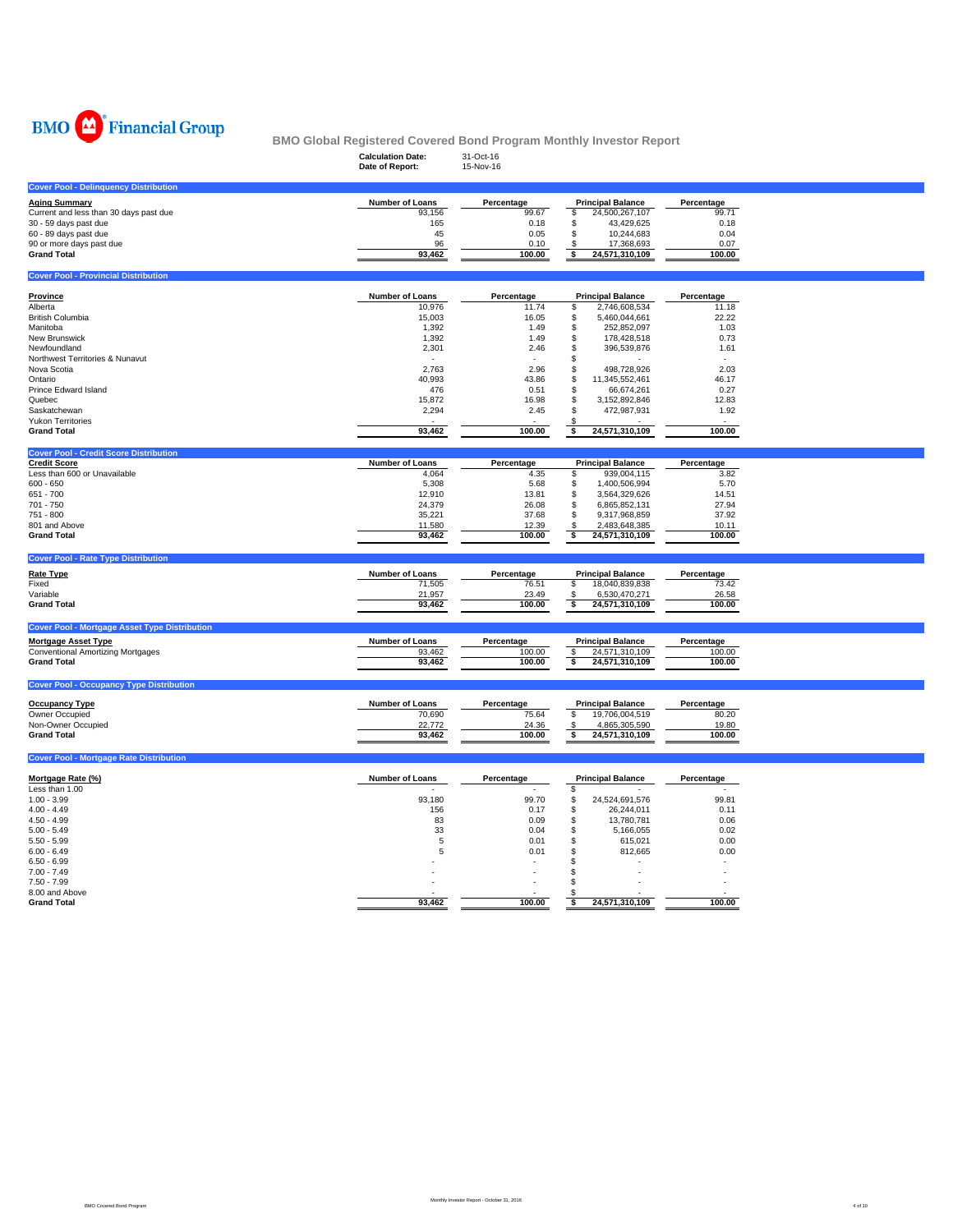

| $= 100$                                                              | <b>Calculation Date:</b><br>Date of Report: | 31-Oct-16<br>15-Nov-16 | <u>serored being rivgram monthly investor itoport</u> |                     |  |
|----------------------------------------------------------------------|---------------------------------------------|------------------------|-------------------------------------------------------|---------------------|--|
|                                                                      |                                             |                        |                                                       |                     |  |
| <b>Cover Pool - Delinquency Distribution</b>                         |                                             |                        |                                                       |                     |  |
| <b>Aging Summary</b><br>Current and less than 30 days past due       | Number of Loans<br>93,156                   | Percentage<br>99.67    | <b>Principal Balance</b><br>24,500,267,107<br>\$      | Percentage<br>99.71 |  |
| 30 - 59 days past due                                                | 165                                         | 0.18                   | \$<br>43,429,625                                      | 0.18                |  |
| 60 - 89 days past due                                                | 45                                          | 0.05                   | $\mathbb S$<br>10,244,683                             | 0.04                |  |
| 90 or more days past due                                             | 96                                          | 0.10                   | 17,368,693<br>\$                                      | 0.07                |  |
| <b>Grand Total</b>                                                   | 93,462                                      | 100.00                 | s<br>24,571,310,109                                   | 100.00              |  |
| <b>Cover Pool - Provincial Distribution</b>                          |                                             |                        |                                                       |                     |  |
|                                                                      |                                             |                        |                                                       |                     |  |
| Province<br>Alberta                                                  | Number of Loans<br>10,976                   | Percentage<br>11.74    | <b>Principal Balance</b><br>2,746,608,534<br>\$       | Percentage<br>11.18 |  |
| <b>British Columbia</b>                                              | 15,003                                      | 16.05                  | \$<br>5,460,044,661                                   | 22.22               |  |
| Manitoba                                                             | 1,392                                       | 1.49                   | \$<br>252,852,097                                     | 1.03                |  |
| New Brunswick                                                        | 1,392                                       | 1.49                   | \$<br>178,428,518                                     | 0.73                |  |
| Newfoundland                                                         | 2,301                                       | 2.46                   | 396,539,876<br>\$                                     | 1.61                |  |
| Northwest Territories & Nunavut<br>Nova Scotia                       | 2,763                                       | 2.96                   | \$<br>\$<br>498,728,926                               | 2.03                |  |
| Ontario                                                              | 40,993                                      | 43.86                  | \$<br>11,345,552,461                                  | 46.17               |  |
| Prince Edward Island                                                 | 476                                         | 0.51                   | \$<br>66,674,261                                      | 0.27                |  |
| Quebec                                                               | 15,872                                      | 16.98                  | \$<br>3,152,892,846                                   | 12.83               |  |
| Saskatchewan<br><b>Yukon Territories</b>                             | 2,294                                       | 2.45                   | \$<br>472,987,931<br>\$.                              | 1.92                |  |
| <b>Grand Total</b>                                                   | 93,462                                      | 100.00                 | 24,571,310,109<br>s                                   | 100.00              |  |
|                                                                      |                                             |                        |                                                       |                     |  |
| <b>Cover Pool - Credit Score Distribution</b><br><b>Credit Score</b> | <b>Number of Loans</b>                      | Percentage             | <b>Principal Balance</b>                              | Percentage          |  |
| Less than 600 or Unavailable                                         | 4,064                                       | 4.35                   | \$<br>939,004,115                                     | 3.82                |  |
| $600 - 650$                                                          | 5,308                                       | 5.68                   | \$<br>1,400,506,994                                   | 5.70                |  |
| 651 - 700                                                            | 12,910                                      | 13.81                  | \$<br>3,564,329,626                                   | 14.51               |  |
| 701 - 750                                                            | 24,379                                      | 26.08                  | \$<br>6,865,852,131                                   | 27.94               |  |
| 751 - 800<br>801 and Above                                           | 35,221<br>11,580                            | 37.68<br>12.39         | \$<br>9,317,968,859<br>2,483,648,385                  | 37.92<br>10.11      |  |
| <b>Grand Total</b>                                                   | 93,462                                      | 100.00                 | \$<br>-S<br>24,571,310,109                            | 100.00              |  |
|                                                                      |                                             |                        |                                                       |                     |  |
| <b>Cover Pool - Rate Type Distribution</b>                           |                                             |                        |                                                       |                     |  |
| <b>Rate Type</b>                                                     | Number of Loans                             | Percentage             | <b>Principal Balance</b>                              | Percentage          |  |
| Fixed<br>Variable                                                    | 71,505<br>21,957                            | 76.51<br>23.49         | 18,040,839,838<br>\$<br>6,530,470,271<br>\$           | 73.42<br>26.58      |  |
| <b>Grand Total</b>                                                   | 93,462                                      | 100.00                 | \$<br>24,571,310,109                                  | 100.00              |  |
|                                                                      |                                             |                        |                                                       |                     |  |
| <b>Cover Pool - Mortgage Asset Type Distribution</b>                 |                                             |                        |                                                       |                     |  |
| <b>Mortgage Asset Type</b>                                           | Number of Loans                             | Percentage             | <b>Principal Balance</b>                              | Percentage          |  |
| <b>Conventional Amortizing Mortgages</b><br><b>Grand Total</b>       | 93,462<br>93,462                            | 100.00<br>100.00       | $\sqrt{3}$<br>24,571,310,109<br>24,571,310,109<br>\$  | 100.00<br>100.00    |  |
|                                                                      |                                             |                        |                                                       |                     |  |
| <b>Cover Pool - Occupancy Type Distribution</b>                      |                                             |                        |                                                       |                     |  |
| <b>Occupancy Type</b>                                                | Number of Loans                             | Percentage             | <b>Principal Balance</b>                              | Percentage          |  |
| Owner Occupied                                                       | 70,690                                      | 75.64                  | \$<br>19,706,004,519                                  | 80.20               |  |
| Non-Owner Occupied                                                   | 22,772                                      | 24.36                  | \$<br>4,865,305,590                                   | 19.80               |  |
| <b>Grand Total</b>                                                   | 93,462                                      | 100.00                 | 24,571,310,109<br>\$                                  | 100.00              |  |
| <b>Cover Pool - Mortgage Rate Distribution</b>                       |                                             |                        |                                                       |                     |  |
| Mortgage Rate (%)                                                    | Number of Loans                             | Percentage             | <b>Principal Balance</b>                              | Percentage          |  |
| Less than 1.00                                                       |                                             |                        | \$                                                    |                     |  |
| $1.00 - 3.99$                                                        | 93,180                                      | 99.70                  | \$<br>24,524,691,576                                  | 99.81               |  |
| $4.00 - 4.49$                                                        |                                             | 0.17                   | \$<br>26,244,011                                      | 0.11                |  |
| $4.50 - 4.99$                                                        | 156                                         |                        |                                                       |                     |  |
|                                                                      | 83                                          | 0.09                   | \$<br>13,780,781                                      | 0.06                |  |
| $5.00 - 5.49$                                                        | 33                                          | 0.04                   | \$<br>5,166,055                                       | 0.02                |  |
| $5.50 - 5.99$<br>$6.00 - 6.49$                                       | 5<br>5                                      | 0.01<br>0.01           | \$<br>615,021<br>\$<br>812,665                        | 0.00<br>0.00        |  |
| $6.50 - 6.99$                                                        |                                             |                        | \$                                                    |                     |  |
| $7.00 - 7.49$                                                        |                                             |                        | \$<br>÷,                                              | $\sim$              |  |
| $7.50 - 7.99$                                                        |                                             |                        | \$                                                    |                     |  |
| 8.00 and Above<br><b>Grand Total</b>                                 | 93,462                                      | 100.00                 | \$<br>24,571,310,109                                  | 100.00              |  |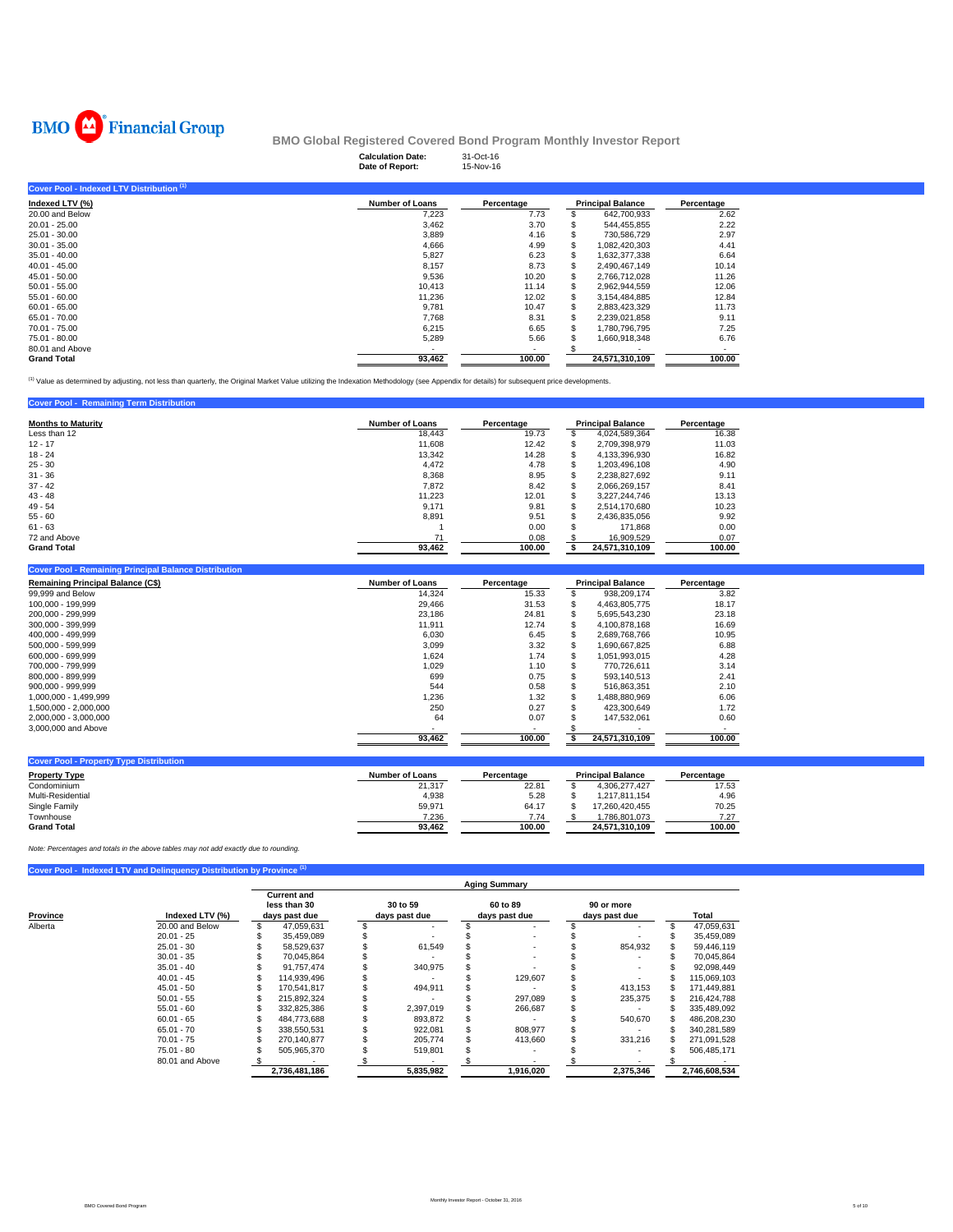

|                                           | <b>Calculation Date:</b><br>Date of Report: | 31-Oct-16<br>15-Nov-16 |   |                          |            |
|-------------------------------------------|---------------------------------------------|------------------------|---|--------------------------|------------|
| Cover Pool - Indexed LTV Distribution (1) |                                             |                        |   |                          |            |
| Indexed LTV (%)                           | <b>Number of Loans</b>                      | Percentage             |   | <b>Principal Balance</b> | Percentage |
| 20.00 and Below                           | 7,223                                       | 7.73                   |   | 642,700,933              | 2.62       |
| $20.01 - 25.00$                           | 3,462                                       | 3.70                   |   | 544,455,855              | 2.22       |
| 25.01 - 30.00                             | 3,889                                       | 4.16                   |   | 730,586,729              | 2.97       |
| $30.01 - 35.00$                           | 4,666                                       | 4.99                   | S | 1.082.420.303            | 4.41       |
| $35.01 - 40.00$                           | 5,827                                       | 6.23                   | S | 1.632.377.338            | 6.64       |
| $40.01 - 45.00$                           | 8,157                                       | 8.73                   | S | 2,490,467,149            | 10.14      |
| $45.01 - 50.00$                           | 9,536                                       | 10.20                  | S | 2,766,712,028            | 11.26      |
| $50.01 - 55.00$                           | 10,413                                      | 11.14                  | S | 2,962,944,559            | 12.06      |
| $55.01 - 60.00$                           | 11,236                                      | 12.02                  | S | 3,154,484,885            | 12.84      |
| $60.01 - 65.00$                           | 9,781                                       | 10.47                  | S | 2,883,423,329            | 11.73      |
| 65.01 - 70.00                             | 7.768                                       | 8.31                   | S | 2,239,021,858            | 9.11       |
| 70.01 - 75.00                             | 6,215                                       | 6.65                   |   | 1,780,796,795            | 7.25       |
| 75.01 - 80.00                             | 5,289                                       | 5.66                   |   | 1,660,918,348            | 6.76       |
| 80.01 and Above                           |                                             | ۰                      |   |                          | ۰          |
| <b>Grand Total</b>                        | 93.462                                      | 100.00                 |   | 24,571,310,109           | 100.00     |

<sup>(1)</sup> Value as determined by adjusting, not less than quarterly, the Original Market Value utilizing the Indexation Methodology (see Appendix for details) for subsequent price developments.

## **Cover Pool - Remaining Term Distribution**

| <b>Months to Maturity</b> | <b>Number of Loans</b> | Percentage | <b>Principal Balance</b> | Percentage |
|---------------------------|------------------------|------------|--------------------------|------------|
| Less than 12              | 18,443                 | 19.73      | 4,024,589,364            | 16.38      |
| $12 - 17$                 | 11.608                 | 12.42      | 2,709,398,979            | 11.03      |
| $18 - 24$                 | 13.342                 | 14.28      | 4,133,396,930            | 16.82      |
| $25 - 30$                 | 4.472                  | 4.78       | 1,203,496,108            | 4.90       |
| $31 - 36$                 | 8,368                  | 8.95       | 2,238,827,692            | 9.11       |
| $37 - 42$                 | 7,872                  | 8.42       | 2,066,269,157            | 8.41       |
| $43 - 48$                 | 11.223                 | 12.01      | 3.227.244.746            | 13.13      |
| $49 - 54$                 | 9.171                  | 9.81       | 2,514,170,680            | 10.23      |
| $55 - 60$                 | 8,891                  | 9.51       | 2,436,835,056            | 9.92       |
| $61 - 63$                 |                        | 0.00       | 171.868                  | 0.00       |
| 72 and Above              | 71                     | 0.08       | 16,909,529               | 0.07       |
| <b>Grand Total</b>        | 93.462                 | 100.00     | 24.571.310.109           | 100.00     |

#### **Cover Pool - Remaining Principal Balance Distribution**

| <b>Remaining Principal Balance (C\$)</b> | <b>Number of Loans</b> | Percentage | <b>Principal Balance</b> | Percentage |
|------------------------------------------|------------------------|------------|--------------------------|------------|
| 99,999 and Below                         | 14.324                 | 15.33      | 938.209.174              | 3.82       |
| 100.000 - 199.999                        | 29.466                 | 31.53      | 4.463.805.775            | 18.17      |
| 200.000 - 299.999                        | 23,186                 | 24.81      | 5,695,543,230            | 23.18      |
| 300.000 - 399.999                        | 11.911                 | 12.74      | 4.100.878.168            | 16.69      |
| 400.000 - 499.999                        | 6.030                  | 6.45       | 2.689.768.766            | 10.95      |
| 500.000 - 599.999                        | 3.099                  | 3.32       | 1.690.667.825            | 6.88       |
| 600.000 - 699.999                        | 1,624                  | 1.74       | 1,051,993,015            | 4.28       |
| 700.000 - 799.999                        | 1.029                  | 1.10       | 770.726.611              | 3.14       |
| 800.000 - 899.999                        | 699                    | 0.75       | 593.140.513              | 2.41       |
| 900.000 - 999.999                        | 544                    | 0.58       | 516.863.351              | 2.10       |
| 1.000.000 - 1.499.999                    | 1.236                  | 1.32       | 1.488.880.969            | 6.06       |
| 1.500.000 - 2.000.000                    | 250                    | 0.27       | 423.300.649              | 1.72       |
| 2,000,000 - 3,000,000                    | 64                     | 0.07       | 147.532.061              | 0.60       |
| 3,000,000 and Above                      |                        |            |                          |            |
|                                          | 93.462                 | 100.00     | 24.571.310.109           | 100.00     |

| <b>Cover Pool - Property Type Distribution</b> |                 |            |                          |            |
|------------------------------------------------|-----------------|------------|--------------------------|------------|
| <b>Property Type</b>                           | Number of Loans | Percentage | <b>Principal Balance</b> | Percentage |
| Condominium                                    | 21.317          | 22.81      | 4.306.277.427            | 17.53      |
| Multi-Residential                              | 4.938           | 5.28       | 1.217.811.154            | 4.96       |
| Single Family                                  | 59.971          | 64.17      | 17.260.420.455           | 70.25      |
| Townhouse                                      | 7.236           | 7.74       | 1.786.801.073            | 7.27       |
| <b>Grand Total</b>                             | 93.462          | 100.00     | 24.571.310.109           | 100.00     |

*Note: Percentages and totals in the above tables may not add exactly due to rounding.*

## **Cover Pool - Indexed LTV and Delinquency Distribution by Province**

|          |                 | <b>Aging Summary</b> |                                                     |  |                           |  |                           |  |                             |  |               |  |  |  |
|----------|-----------------|----------------------|-----------------------------------------------------|--|---------------------------|--|---------------------------|--|-----------------------------|--|---------------|--|--|--|
| Province | Indexed LTV (%) |                      | <b>Current and</b><br>less than 30<br>days past due |  | 30 to 59<br>days past due |  | 60 to 89<br>days past due |  | 90 or more<br>days past due |  | Total         |  |  |  |
| Alberta  | 20.00 and Below |                      | 47.059.631                                          |  |                           |  |                           |  |                             |  | 47,059,631    |  |  |  |
|          | $20.01 - 25$    |                      | 35.459.089                                          |  |                           |  |                           |  |                             |  | 35,459,089    |  |  |  |
|          | $25.01 - 30$    |                      | 58.529.637                                          |  | 61.549                    |  |                           |  | 854,932                     |  | 59,446,119    |  |  |  |
|          | $30.01 - 35$    |                      | 70.045.864                                          |  |                           |  |                           |  |                             |  | 70.045.864    |  |  |  |
|          | $35.01 - 40$    |                      | 91.757.474                                          |  | 340,975                   |  |                           |  |                             |  | 92.098.449    |  |  |  |
|          | $40.01 - 45$    |                      | 114.939.496                                         |  |                           |  | 129.607                   |  |                             |  | 115,069,103   |  |  |  |
|          | $45.01 - 50$    |                      | 170.541.817                                         |  | 494.911                   |  |                           |  | 413.153                     |  | 171.449.881   |  |  |  |
|          | $50.01 - 55$    |                      | 215.892.324                                         |  |                           |  | 297.089                   |  | 235,375                     |  | 216,424,788   |  |  |  |
|          | $55.01 - 60$    |                      | 332.825.386                                         |  | 2.397.019                 |  | 266.687                   |  |                             |  | 335.489.092   |  |  |  |
|          | $60.01 - 65$    |                      | 484.773.688                                         |  | 893,872                   |  |                           |  | 540.670                     |  | 486,208,230   |  |  |  |
|          | $65.01 - 70$    |                      | 338.550.531                                         |  | 922,081                   |  | 808.977                   |  |                             |  | 340,281,589   |  |  |  |
|          | $70.01 - 75$    |                      | 270.140.877                                         |  | 205,774                   |  | 413,660                   |  | 331,216                     |  | 271,091,528   |  |  |  |
|          | $75.01 - 80$    |                      | 505.965.370                                         |  | 519,801                   |  |                           |  |                             |  | 506,485,171   |  |  |  |
|          | 80.01 and Above |                      |                                                     |  |                           |  |                           |  |                             |  |               |  |  |  |
|          |                 |                      | 2,736,481,186                                       |  | 5,835,982                 |  | 1,916,020                 |  | 2,375,346                   |  | 2,746,608,534 |  |  |  |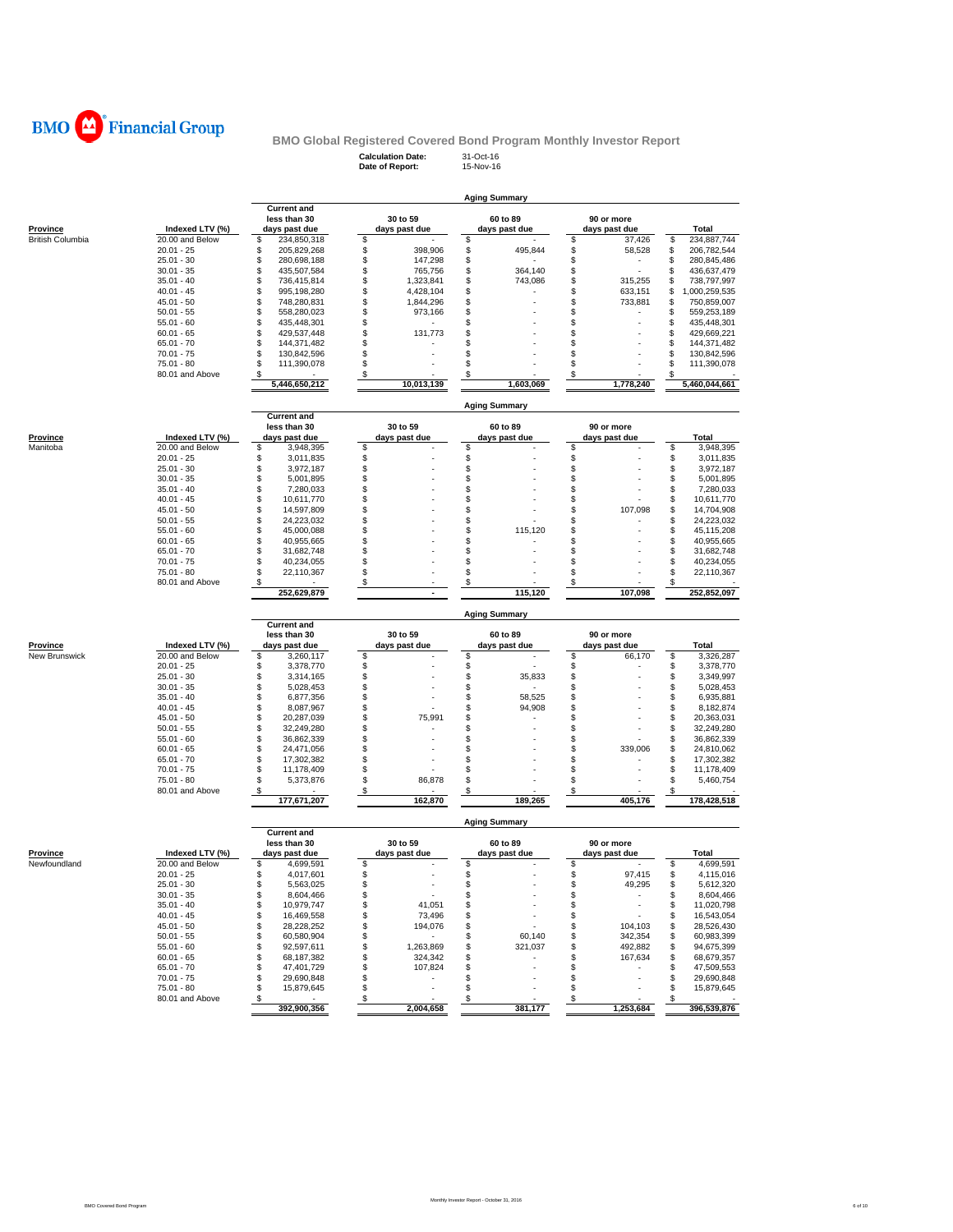

**Calculation Date:** 31-Oct-16 **Date of Report:** 15-Nov-16

|                         |                                    |                                        |                                | <b>Aging Summary</b>          |                          |                                          |
|-------------------------|------------------------------------|----------------------------------------|--------------------------------|-------------------------------|--------------------------|------------------------------------------|
|                         |                                    | <b>Current and</b><br>less than 30     | 30 to 59                       | 60 to 89                      | 90 or more               |                                          |
| Province                | Indexed LTV (%)                    | days past due                          | days past due                  | days past due                 | days past due            | Total                                    |
| <b>British Columbia</b> | 20.00 and Below                    | \$<br>234,850,318                      | \$                             | \$                            | \$<br>37,426             | \$<br>234,887,744                        |
|                         | $20.01 - 25$                       | \$<br>205,829,268                      | \$<br>398,906                  | \$<br>495,844                 | \$<br>58,528             | \$<br>206,782,544                        |
|                         | $25.01 - 30$                       | \$<br>280,698,188                      | \$<br>147,298                  | \$                            | \$                       | \$<br>280,845,486                        |
|                         | $30.01 - 35$<br>$35.01 - 40$       | \$<br>435,507,584<br>\$<br>736,415,814 | \$<br>765,756<br>\$            | \$<br>364,140<br>\$           | \$<br>\$                 | \$<br>436,637,479                        |
|                         | $40.01 - 45$                       | \$<br>995,198,280                      | 1,323,841<br>\$<br>4,428,104   | 743,086<br>\$                 | 315,255<br>\$<br>633,151 | \$<br>738,797,997<br>\$<br>1,000,259,535 |
|                         | $45.01 - 50$                       | \$<br>748,280,831                      | \$<br>1,844,296                | \$                            | \$<br>733,881            | \$<br>750,859,007                        |
|                         | $50.01 - 55$                       | \$<br>558,280,023                      | \$<br>973,166                  | \$                            | \$                       | \$<br>559,253,189                        |
|                         | $55.01 - 60$                       | \$<br>435,448,301                      | \$                             | \$                            | \$                       | \$<br>435,448,301                        |
|                         | $60.01 - 65$                       | \$<br>429,537,448                      | \$<br>131,773                  | \$                            | \$                       | \$<br>429,669,221                        |
|                         | $65.01 - 70$                       | \$<br>144,371,482                      | \$                             | \$                            | \$                       | \$<br>144,371,482                        |
|                         | 70.01 - 75                         | \$<br>130,842,596                      | \$                             | \$                            | \$                       | \$<br>130,842,596                        |
|                         | 75.01 - 80                         | \$<br>111,390,078                      | \$                             | \$                            | \$                       | \$<br>111,390,078                        |
|                         | 80.01 and Above                    | \$<br>5,446,650,212                    | \$<br>10,013,139               | \$<br>1.603.069               | \$<br>1,778,240          | S<br>5,460,044,661                       |
|                         |                                    |                                        |                                | <b>Aging Summary</b>          |                          |                                          |
|                         |                                    | <b>Current and</b>                     |                                |                               |                          |                                          |
|                         |                                    | less than 30                           | 30 to 59                       | 60 to 89                      | 90 or more               |                                          |
| Province<br>Manitoba    | Indexed LTV (%)<br>20.00 and Below | days past due                          | days past due                  | days past due                 | days past due            | Total<br>\$                              |
|                         | $20.01 - 25$                       | \$<br>3,948,395<br>\$<br>3,011,835     | \$<br>\$                       | \$<br>\$                      | \$<br>\$                 | 3,948,395<br>\$<br>3,011,835             |
|                         | $25.01 - 30$                       | \$<br>3,972,187                        | \$                             | \$                            | \$                       | \$<br>3,972,187                          |
|                         | $30.01 - 35$                       | \$<br>5,001,895                        | \$                             | \$                            | \$                       | \$<br>5,001,895                          |
|                         | $35.01 - 40$                       | \$<br>7,280,033                        | \$                             | \$                            | \$                       | \$<br>7,280,033                          |
|                         | $40.01 - 45$                       | \$<br>10,611,770                       | \$                             | \$                            | \$                       | \$<br>10,611,770                         |
|                         | $45.01 - 50$                       | \$<br>14,597,809                       | \$                             | \$                            | \$<br>107,098            | \$<br>14,704,908                         |
|                         | $50.01 - 55$                       | \$<br>24,223,032                       | \$                             | \$                            | \$                       | \$<br>24,223,032                         |
|                         | $55.01 - 60$                       | \$<br>45,000,088                       | \$                             | \$<br>115,120                 | \$                       | \$<br>45,115,208                         |
|                         | $60.01 - 65$<br>$65.01 - 70$       | \$<br>40,955,665<br>\$                 | \$<br>\$                       | \$                            | \$<br>\$                 | S<br>40,955,665                          |
|                         | $70.01 - 75$                       | 31,682,748<br>\$<br>40,234,055         | \$                             | \$<br>\$                      | \$                       | \$<br>31,682,748<br>\$<br>40,234,055     |
|                         | 75.01 - 80                         | \$<br>22,110,367                       | \$                             | \$                            | \$                       | \$<br>22,110,367                         |
|                         | 80.01 and Above                    | \$                                     | \$                             | \$                            | \$                       | \$                                       |
|                         |                                    | 252,629,879                            |                                | 115.120                       | 107,098                  | 252,852,097                              |
|                         |                                    |                                        |                                | <b>Aging Summary</b>          |                          |                                          |
|                         |                                    |                                        |                                |                               |                          |                                          |
|                         |                                    | <b>Current and</b><br>less than 30     | 30 to 59                       | 60 to 89                      | 90 or more               |                                          |
| Province                | Indexed LTV (%)                    | days past due                          | days past due                  | days past due                 | days past due            | Total                                    |
| New Brunswick           | 20.00 and Below                    | \$<br>3,260,117                        | \$                             | \$                            | \$<br>66,170             | \$<br>3,326,287                          |
|                         | $20.01 - 25$                       | \$<br>3,378,770                        | \$                             | \$                            | \$                       | \$<br>3,378,770                          |
|                         | $25.01 - 30$                       | \$<br>3,314,165                        | \$                             | \$<br>35,833                  | \$                       | \$<br>3,349,997                          |
|                         | $30.01 - 35$                       | \$<br>5,028,453                        | \$<br>÷                        | \$                            | \$                       | \$<br>5,028,453                          |
|                         | $35.01 - 40$                       | \$<br>6,877,356                        | \$                             | \$<br>58,525                  | \$                       | \$<br>6,935,881                          |
|                         | $40.01 - 45$                       | \$<br>8,087,967                        | \$                             | \$<br>94,908                  | \$                       | \$<br>8,182,874                          |
|                         | $45.01 - 50$                       | \$<br>20,287,039                       | \$<br>75,991                   | \$                            | \$                       | \$<br>20,363,031                         |
|                         | $50.01 - 55$<br>$55.01 - 60$       | \$<br>32,249,280<br>36,862,339         | \$<br>\$                       | \$<br>\$                      | \$<br>\$                 | \$<br>32,249,280<br>\$                   |
|                         | $60.01 - 65$                       | \$<br>\$<br>24,471,056                 | \$                             | \$                            | \$<br>339,006            | 36,862,339<br>\$<br>24,810,062           |
|                         | $65.01 - 70$                       | \$<br>17,302,382                       | \$                             | \$                            | \$                       | \$<br>17,302,382                         |
|                         | $70.01 - 75$                       | \$<br>11,178,409                       | \$                             | \$                            | \$                       | \$<br>11,178,409                         |
|                         | $75.01 - 80$                       | \$<br>5,373,876                        | \$<br>86,878                   | \$                            | \$                       | \$<br>5,460,754                          |
|                         | 80.01 and Above                    | \$<br>177,671,207                      | \$<br>162,870                  | \$<br>189,265                 | \$<br>405,176            | \$<br>178,428,518                        |
|                         |                                    |                                        |                                |                               |                          |                                          |
|                         |                                    | <b>Current and</b>                     |                                | Aging Summary                 |                          |                                          |
|                         |                                    | less than 30                           | 30 to 59                       | 60 to 89                      | 90 or more               |                                          |
| Province                | Indexed LTV (%)                    | days past due                          | days past due                  | days past due                 | days past due            | Total                                    |
| Newfoundland            | 20.00 and Below                    | \$<br>4,699,591                        | \$                             | \$                            | \$                       | \$<br>4,699,591                          |
|                         | 20.01 - 25                         | 4,017,601<br>S                         | S                              | S                             | 97,415                   | 4,115,016<br>ъ                           |
|                         | $25.01 - 30$                       | \$<br>5,563,025                        | \$                             | \$                            | \$<br>49,295             | 5,612,320<br>\$                          |
|                         | $30.01 - 35$                       | \$<br>8,604,466                        | \$                             | \$                            | \$<br>$\sim$             | 8,604,466<br>\$                          |
|                         | $35.01 - 40$                       | \$<br>10,979,747                       | \$<br>41,051                   | \$                            | \$                       | 11,020,798<br>\$                         |
|                         | $40.01 - 45$                       | \$<br>16,469,558                       | \$<br>73,496                   | \$                            | \$                       | 16,543,054<br>\$                         |
|                         | $45.01 - 50$                       | \$<br>28,228,252                       | \$<br>194,076<br>$\sim$        | \$                            | \$<br>104,103            | 28,526,430<br>\$                         |
|                         | $50.01 - 55$<br>$55.01 - 60$       | \$<br>60,580,904<br>\$                 | \$<br>1,263,869                | 60,140<br>\$<br>\$<br>321,037 | \$<br>342,354<br>\$      | 60,983,399<br>\$<br>\$                   |
|                         | $60.01 - 65$                       | 92,597,611<br>\$<br>68,187,382         | \$<br>\$<br>324,342            | \$                            | 492,882<br>\$<br>167,634 | 94,675,399<br>68,679,357<br>\$           |
|                         | $65.01 - 70$                       | \$<br>47,401,729                       | \$<br>107,824                  | \$                            | \$                       | 47,509,553<br>\$                         |
|                         | $70.01 - 75$                       | \$<br>29,690,848                       | \$<br>$\overline{\phantom{a}}$ | \$                            | \$                       | 29,690,848<br>\$                         |
|                         | 75.01 - 80                         | \$<br>15,879,645                       | \$<br>÷                        | \$                            | \$                       | 15,879,645<br>\$                         |
|                         | 80.01 and Above                    | \$<br>$\sim$<br>392,900,356            | \$<br>2,004,658                | \$<br>381,177                 | \$<br>1,253,684          | 396,539,876                              |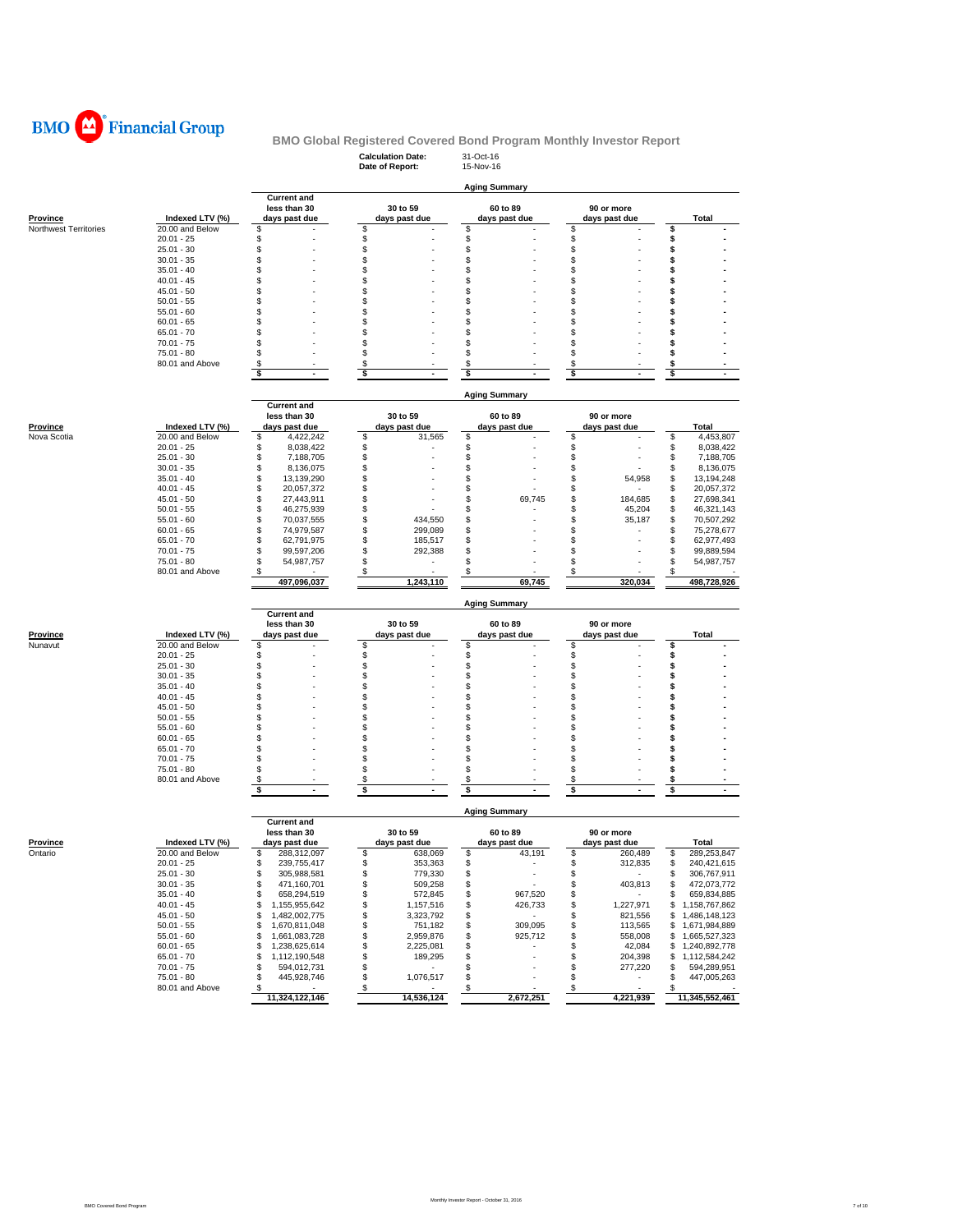

## **Calculation Date:** 31-Oct-16 **BMO Global Registered Covered Bond Program Monthly Investor Report**

|                                   |                                    |                                          | Date of Report:               | 15-Nov-16                            |                             |                                          |
|-----------------------------------|------------------------------------|------------------------------------------|-------------------------------|--------------------------------------|-----------------------------|------------------------------------------|
|                                   |                                    |                                          |                               | <b>Aging Summary</b>                 |                             |                                          |
|                                   |                                    | <b>Current and</b>                       |                               |                                      |                             |                                          |
|                                   |                                    | less than 30                             | 30 to 59                      | 60 to 89                             | 90 or more                  |                                          |
| Province<br>Northwest Territories | Indexed LTV (%)<br>20.00 and Below | days past due<br>\$                      | days past due<br>\$           | days past due<br>\$                  | days past due<br>\$         | Total<br>\$                              |
|                                   | $20.01 - 25$                       | \$                                       | \$                            | \$                                   | \$                          | \$                                       |
|                                   | $25.01 - 30$                       | \$                                       | \$                            | \$                                   | \$                          | \$                                       |
|                                   | $30.01 - 35$                       | \$                                       | \$                            | S                                    | \$                          | \$                                       |
|                                   | $35.01 - 40$                       | \$                                       | \$                            | \$                                   | \$                          | \$                                       |
|                                   | $40.01 - 45$                       | \$                                       | \$                            | \$                                   | \$                          | \$                                       |
|                                   | $45.01 - 50$<br>$50.01 - 55$       | \$<br>\$                                 | \$<br>\$                      | \$<br>\$                             | \$<br>\$                    | \$<br>\$                                 |
|                                   | $55.01 - 60$                       | \$                                       | \$                            | \$                                   | \$                          | \$                                       |
|                                   | $60.01 - 65$                       | \$                                       | \$                            | \$                                   | \$                          | \$                                       |
|                                   | $65.01 - 70$                       | \$                                       | \$                            | \$                                   | \$                          | \$                                       |
|                                   | $70.01 - 75$                       | \$                                       | \$                            | \$                                   | \$                          | \$                                       |
|                                   | 75.01 - 80                         | \$                                       | \$                            | \$                                   | \$                          | \$                                       |
|                                   | 80.01 and Above                    | \$<br>\$<br>$\sim$                       | \$<br>\$<br>$\blacksquare$    | S<br>\$                              | \$<br>\$<br>$\blacksquare$  | \$<br>\$<br>$\sim$                       |
|                                   |                                    |                                          |                               |                                      |                             |                                          |
|                                   |                                    |                                          |                               | <b>Aging Summary</b>                 |                             |                                          |
|                                   |                                    | <b>Current and</b>                       |                               |                                      |                             |                                          |
|                                   |                                    | less than 30                             | 30 to 59                      | 60 to 89                             | 90 or more                  |                                          |
| Province<br>Nova Scotia           | Indexed LTV (%)<br>20.00 and Below | days past due<br>\$<br>4,422,242         | days past due<br>\$<br>31,565 | days past due<br>\$                  | days past due<br>\$         | Total<br>\$<br>4,453,807                 |
|                                   | $20.01 - 25$                       | \$<br>8,038,422                          | \$                            | \$                                   | \$                          | \$<br>8,038,422                          |
|                                   | $25.01 - 30$                       | \$<br>7,188,705                          | \$                            | \$                                   | \$                          | \$<br>7,188,705                          |
|                                   | $30.01 - 35$                       | \$<br>8,136,075                          | \$                            | \$                                   | \$                          | \$<br>8,136,075                          |
|                                   | $35.01 - 40$                       | \$<br>13,139,290                         | \$                            | \$                                   | S<br>54,958                 | \$<br>13,194,248                         |
|                                   | $40.01 - 45$                       | \$<br>20,057,372                         | \$                            | \$                                   | \$                          | \$<br>20,057,372                         |
|                                   | $45.01 - 50$                       | \$<br>27,443,911                         | \$                            | \$<br>69,745                         | \$<br>184,685               | \$<br>27,698,341                         |
|                                   | $50.01 - 55$<br>$55.01 - 60$       | \$<br>46,275,939<br>\$<br>70,037,555     | \$<br>\$<br>434.550           | \$<br>\$                             | S<br>45,204<br>S            | \$<br>46,321,143                         |
|                                   | $60.01 - 65$                       | \$<br>74,979,587                         | \$<br>299,089                 | \$                                   | 35,187<br>\$                | \$<br>70,507,292<br>\$<br>75,278,677     |
|                                   | $65.01 - 70$                       | \$<br>62,791,975                         | \$<br>185,517                 | \$                                   | \$                          | \$<br>62,977,493                         |
|                                   | $70.01 - 75$                       | \$<br>99,597,206                         | \$<br>292,388                 | \$                                   | \$                          | \$<br>99,889,594                         |
|                                   | 75.01 - 80                         | \$<br>54,987,757                         | \$                            | \$                                   | \$                          | \$<br>54,987,757                         |
|                                   | 80.01 and Above                    | \$                                       | \$                            | \$                                   | \$                          | \$                                       |
|                                   |                                    | 497,096,037                              | 1,243,110                     | 69,745                               | 320,034                     | 498,728,926                              |
|                                   |                                    | <b>Current and</b>                       |                               | <b>Aging Summary</b>                 |                             |                                          |
|                                   |                                    | less than 30                             | 30 to 59                      | 60 to 89                             | 90 or more                  |                                          |
| Province                          | Indexed LTV (%)                    | days past due                            | days past due                 | days past due                        | days past due               | <b>Total</b>                             |
| Nunavut                           | 20.00 and Below                    | \$                                       | \$                            | \$                                   | \$                          | \$                                       |
|                                   | $20.01 - 25$<br>$25.01 - 30$       | \$<br>\$                                 | \$<br>\$                      | \$<br>\$                             | \$<br>\$                    | \$<br>\$                                 |
|                                   | $30.01 - 35$                       | \$                                       | \$                            | S                                    | \$                          | \$                                       |
|                                   | $35.01 - 40$                       | \$                                       | \$                            | \$                                   | \$                          | \$                                       |
|                                   | $40.01 - 45$                       | \$                                       | \$                            | S                                    | \$                          | \$                                       |
|                                   | $45.01 - 50$                       | \$                                       | \$                            | \$                                   | \$                          | \$                                       |
|                                   | $50.01 - 55$                       | \$                                       | \$                            | \$                                   | \$                          | \$                                       |
|                                   | $55.01 - 60$                       | \$                                       | \$                            | \$                                   | \$                          | Ś                                        |
|                                   | $60.01 - 65$<br>$65.01 - 70$       | \$<br>\$                                 | \$<br>\$                      | \$<br>\$                             | \$<br>\$                    | \$<br>\$                                 |
|                                   | $70.01 - 75$                       | \$                                       | \$                            | S                                    | \$                          | \$                                       |
|                                   | 75.01 - 80                         | \$                                       | \$                            | S                                    | \$                          | \$                                       |
|                                   | 80.01 and Above                    | \$                                       | \$                            | S.                                   | \$                          | S                                        |
|                                   |                                    | \$<br>$\overline{\phantom{a}}$           | s<br>$\overline{a}$           | \$                                   | \$                          | \$                                       |
|                                   |                                    |                                          |                               | <b>Aging Summary</b>                 |                             |                                          |
|                                   |                                    | <b>Current and</b><br>less than 30       | 30 to 59                      | 60 to 89                             | 90 or more                  |                                          |
| <b>Province</b>                   | Indexed LTV (%)                    | days past due                            | days past due                 | days past due                        | days past due               | Total                                    |
| Ontario                           | 20.00 and Below                    | 288,312,097<br>S                         | \$<br>638,069                 | \$<br>43,191                         | \$<br>260,489               | 289,253,847<br>\$                        |
|                                   | 20.01 - 25                         | ৬<br>239, 755, 417                       | 353,363                       |                                      | ъ<br>312,835                | ъ<br>240,421,615                         |
|                                   | $25.01 - 30$                       | \$<br>305,988,581                        | \$<br>779,330                 | \$<br>×                              | \$<br>$\sim$                | 306,767,911<br>\$                        |
|                                   | $30.01 - 35$                       | \$<br>471,160,701                        | \$<br>509,258<br>572,845      | \$                                   | 403,813<br>\$<br>$\sim 100$ | 472,073,772<br>\$                        |
|                                   | $35.01 - 40$<br>$40.01 - 45$       | 658,294,519<br>\$<br>\$<br>1,155,955,642 | \$<br>\$<br>1,157,516         | 967,520<br>\$<br>\$<br>426,733       | \$<br>\$<br>1,227,971       | 659,834,885<br>\$<br>\$<br>1,158,767,862 |
|                                   | $45.01 - 50$                       | \$<br>1,482,002,775                      | \$<br>3,323,792               | \$<br>$\sim$                         | 821,556<br>\$               | \$1,486,148,123                          |
|                                   | $50.01 - 55$                       | \$<br>1,670,811,048                      | \$<br>751,182                 | \$<br>309,095                        | \$<br>113,565               | \$1,671,984,889                          |
|                                   | $55.01 - 60$                       | \$<br>1,661,083,728                      | \$<br>2,959,876               | 925,712<br>\$                        | \$<br>558,008               | 1,665,527,323<br>\$                      |
|                                   | $60.01 - 65$                       | \$<br>1,238,625,614                      | \$<br>2,225,081               | \$                                   | \$<br>42,084                | 1,240,892,778<br>\$                      |
|                                   | 65.01 - 70                         | \$<br>1,112,190,548                      | \$<br>189,295                 | \$                                   | \$<br>204,398               | \$<br>1,112,584,242                      |
|                                   |                                    |                                          |                               |                                      |                             |                                          |
|                                   | $70.01 - 75$                       | 594,012,731<br>\$                        | \$<br>$\sim$                  | \$                                   | \$<br>277,220               | 594,289,951<br>\$                        |
|                                   | 75.01 - 80                         | 445,928,746<br>\$                        | 1,076,517<br>\$               | \$                                   | \$                          | 447,005,263<br>\$                        |
|                                   | 80.01 and Above                    | \$<br>11,324,122,146                     | <u>\$</u><br>14,536,124       | $\sqrt[6]{\frac{2}{5}}$<br>2,672,251 | \$<br>4,221,939             | 11,345,552,461                           |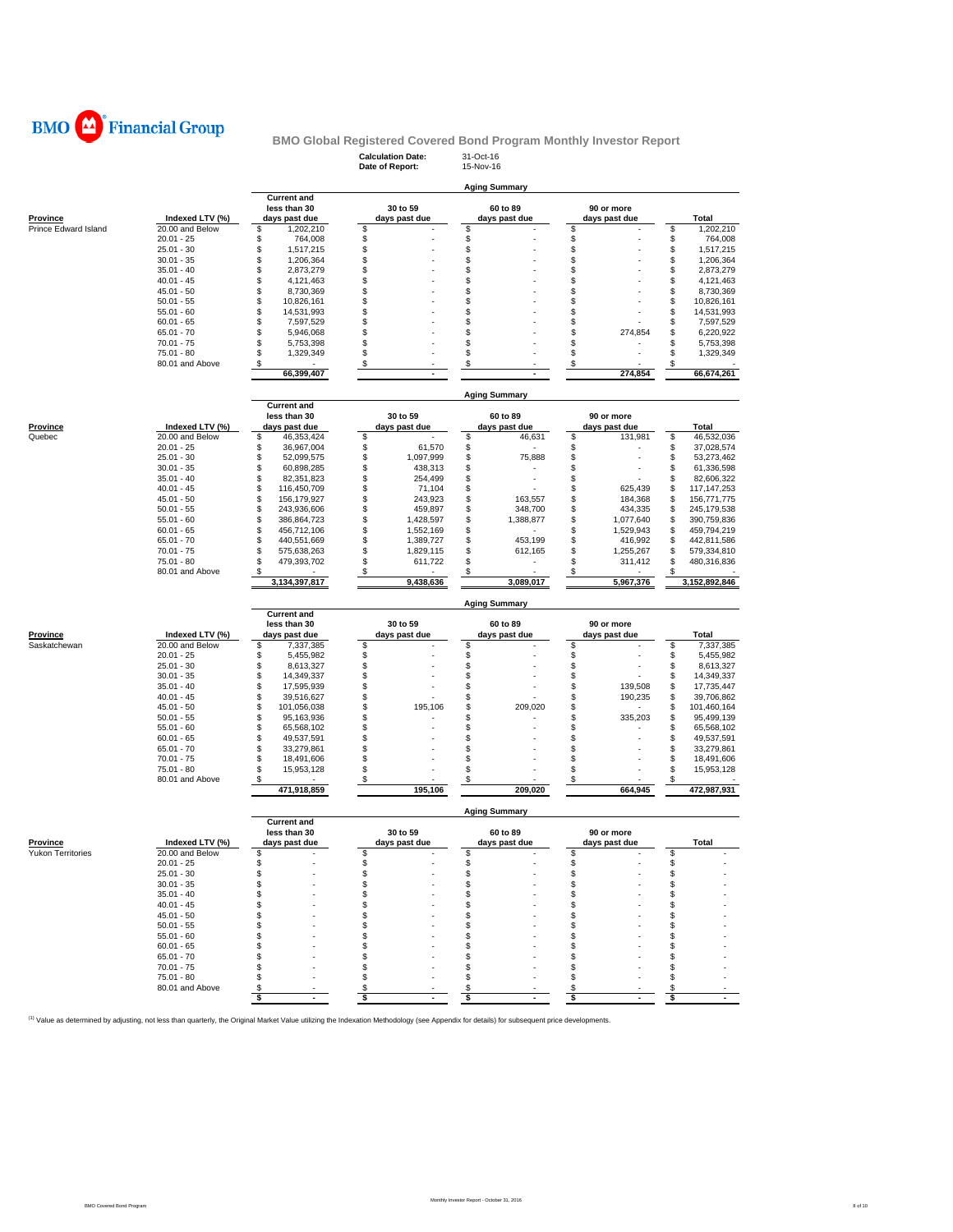

## **Calculation Date:** 31-Oct-16 **BMO Global Registered Covered Bond Program Monthly Investor Report**

|                      |                                 |                                     | Date of Report:            | 15-Nov-16            |                 |                                     |
|----------------------|---------------------------------|-------------------------------------|----------------------------|----------------------|-----------------|-------------------------------------|
|                      |                                 |                                     |                            |                      |                 |                                     |
|                      |                                 | <b>Current and</b>                  |                            | <b>Aging Summary</b> |                 |                                     |
|                      |                                 | less than 30                        | 30 to 59                   | 60 to 89             | 90 or more      |                                     |
| Province             | Indexed LTV (%)                 | days past due                       | days past due              | days past due        | days past due   | <b>Total</b>                        |
| Prince Edward Island | 20.00 and Below                 | \$<br>1,202,210                     | \$                         | \$                   | \$              | \$<br>1,202,210                     |
|                      | $20.01 - 25$                    | \$<br>764,008                       | \$                         | \$                   | \$              | \$<br>764,008                       |
|                      | $25.01 - 30$                    | \$<br>1,517,215                     | \$                         | \$                   | \$              | \$<br>1,517,215                     |
|                      | $30.01 - 35$                    | \$<br>1,206,364                     | \$<br>\$                   | \$                   | \$              | \$<br>1,206,364                     |
|                      | $35.01 - 40$<br>$40.01 - 45$    | \$<br>2,873,279<br>\$<br>4,121,463  | \$                         | \$<br>\$             | \$<br>\$        | \$<br>2,873,279<br>\$<br>4,121,463  |
|                      | $45.01 - 50$                    | \$<br>8,730,369                     | \$                         | \$                   | \$              | \$<br>8,730,369                     |
|                      | $50.01 - 55$                    | \$<br>10,826,161                    | \$                         | \$                   | \$              | \$<br>10,826,161                    |
|                      | $55.01 - 60$                    | \$<br>14,531,993                    | \$                         | \$                   | \$              | \$<br>14,531,993                    |
|                      | $60.01 - 65$                    | \$<br>7,597,529                     | \$                         | \$                   | \$              | \$<br>7,597,529                     |
|                      | $65.01 - 70$                    | \$<br>5,946,068                     | \$                         | \$                   | S<br>274,854    | \$<br>6,220,922                     |
|                      | $70.01 - 75$                    | \$<br>5,753,398                     | \$                         | \$                   | \$              | \$<br>5,753,398                     |
|                      | $75.01 - 80$                    | \$<br>1,329,349                     | \$                         | \$                   | \$              | S<br>1,329,349                      |
|                      | 80.01 and Above                 | \$                                  | \$                         | \$                   | \$              | \$                                  |
|                      |                                 | 66,399,407                          |                            |                      | 274,854         | 66,674,261                          |
|                      |                                 |                                     |                            |                      |                 |                                     |
|                      |                                 |                                     |                            | Aging Summary        |                 |                                     |
|                      |                                 | <b>Current and</b>                  |                            |                      |                 |                                     |
|                      |                                 | less than 30                        | 30 to 59                   | 60 to 89             | 90 or more      |                                     |
| Province             | Indexed LTV (%)                 | days past due                       | days past due              | days past due        | days past due   | Total                               |
| Quebec               | 20.00 and Below                 | \$<br>46,353,424                    | \$                         | \$<br>46,631         | \$<br>131,981   | \$<br>46,532,036                    |
|                      | $20.01 - 25$<br>$25.01 - 30$    | \$<br>36,967,004<br>\$              | \$<br>61,570<br>\$         | \$<br>\$<br>75,888   | \$<br>\$        | \$<br>37,028,574<br>\$              |
|                      | $30.01 - 35$                    | 52,099,575<br>\$<br>60,898,285      | 1,097,999<br>\$<br>438,313 | \$                   | \$              | 53,273,462<br>\$<br>61,336,598      |
|                      | $35.01 - 40$                    | \$<br>82,351,823                    | \$<br>254,499              | \$                   | \$              | \$<br>82,606,322                    |
|                      | $40.01 - 45$                    | \$<br>116,450,709                   | \$<br>71,104               | \$                   | S<br>625,439    | \$<br>117,147,253                   |
|                      | $45.01 - 50$                    | \$<br>156,179,927                   | \$<br>243,923              | \$<br>163,557        | 184,368<br>S    | \$<br>156,771,775                   |
|                      | $50.01 - 55$                    | \$<br>243,936,606                   | \$<br>459,897              | \$<br>348,700        | S<br>434,335    | \$<br>245,179,538                   |
|                      | $55.01 - 60$                    | \$<br>386,864,723                   | \$<br>1,428,597            | \$<br>1,388,877      | \$<br>1,077,640 | \$<br>390,759,836                   |
|                      | $60.01 - 65$                    | \$<br>456,712,106                   | \$<br>1,552,169            | \$                   | \$<br>1,529,943 | \$<br>459,794,219                   |
|                      | $65.01 - 70$                    | \$<br>440,551,669                   | \$<br>1,389,727            | \$<br>453,199        | \$<br>416,992   | \$<br>442,811,586                   |
|                      | $70.01 - 75$                    | \$<br>575,638,263                   | \$<br>1,829,115            | \$<br>612,165        | S<br>1,255,267  | \$<br>579,334,810                   |
|                      | $75.01 - 80$                    | \$<br>479,393,702                   | \$<br>611,722              | \$                   | 311,412<br>S    | Ŝ<br>480,316,836                    |
|                      | 80.01 and Above                 | \$                                  | \$                         | \$                   | \$              | \$                                  |
|                      |                                 |                                     |                            |                      |                 |                                     |
|                      |                                 | 3,134,397,817                       | 9,438,636                  | 3,089,017            | 5,967,376       | 3,152,892,846                       |
|                      |                                 |                                     |                            |                      |                 |                                     |
|                      |                                 |                                     |                            | <b>Aging Summary</b> |                 |                                     |
|                      |                                 | <b>Current and</b>                  |                            |                      |                 |                                     |
|                      |                                 | less than 30                        | 30 to 59                   | 60 to 89             | 90 or more      |                                     |
| <b>Province</b>      | Indexed LTV (%)                 | days past due                       | days past due              | days past due        | days past due   | Total                               |
| Saskatchewan         | 20.00 and Below                 | \$<br>7,337,385                     | \$                         | \$                   | \$              | \$<br>7,337,385                     |
|                      | $20.01 - 25$                    | \$<br>5,455,982                     |                            | \$                   | \$              | \$<br>5,455,982                     |
|                      | $25.01 - 30$<br>$30.01 - 35$    | \$<br>8,613,327<br>\$<br>14,349,337 | \$<br>\$                   | \$<br>\$             | \$<br>\$        | \$<br>8,613,327<br>\$<br>14,349,337 |
|                      | $35.01 - 40$                    | \$<br>17,595,939                    | \$                         | \$                   | S<br>139,508    | \$<br>17,735,447                    |
|                      | $40.01 - 45$                    | \$<br>39,516,627                    | \$                         | \$                   | \$<br>190,235   | \$<br>39,706,862                    |
|                      | 45.01 - 50                      | \$<br>101,056,038                   | \$<br>195,106              | \$<br>209,020        | \$              | \$<br>101,460,164                   |
|                      | $50.01 - 55$                    | \$<br>95,163,936                    | \$                         | \$                   | S<br>335,203    | \$<br>95,499,139                    |
|                      | $55.01 - 60$                    | \$<br>65,568,102                    | \$                         | \$                   | \$              | \$<br>65,568,102                    |
|                      | $60.01 - 65$                    | \$<br>49,537,591                    | \$                         | \$                   | \$              | \$<br>49,537,591                    |
|                      | $65.01 - 70$                    | \$<br>33,279,861                    | \$                         | \$                   | \$              | \$<br>33,279,861                    |
|                      | $70.01 - 75$                    | \$<br>18,491,606                    | \$                         | \$                   | S               | \$<br>18,491,606                    |
|                      | 75.01 - 80                      | \$<br>15,953,128                    | \$                         | \$                   | \$              | \$<br>15,953,128                    |
|                      | 80.01 and Above                 | \$                                  | \$                         | \$                   | \$              | \$                                  |
|                      |                                 | 471,918,859                         | 195,106                    | 209,020              | 664,945         | 472,987,931                         |
|                      |                                 |                                     |                            |                      |                 |                                     |
|                      |                                 | <b>Current and</b>                  |                            | <b>Aging Summary</b> |                 |                                     |
|                      |                                 | less than 30                        | 30 to 59                   | 60 to 89             | 90 or more      |                                     |
| Province             | Indexed LTV (%)                 | days past due                       | days past due              | days past due        | days past due   | <b>Total</b>                        |
| Yukon Territories    | 20.00 and Below                 | S                                   | \$                         | \$                   | \$              | \$                                  |
|                      | 20.01 - 25                      | \$                                  | \$                         | S                    | \$              | \$                                  |
|                      | $25.01 - 30$                    | \$                                  | \$                         | \$                   | \$              | \$                                  |
|                      | $30.01 - 35$                    | \$                                  | \$                         | \$                   | \$              | \$                                  |
|                      | $35.01 - 40$                    | \$                                  | \$                         | \$                   | \$              | \$                                  |
|                      | $40.01 - 45$                    | \$                                  | \$                         | S                    | \$              | \$                                  |
|                      | $45.01 - 50$                    | \$                                  | \$                         | \$                   | \$              | \$                                  |
|                      | $50.01 - 55$                    | \$                                  | \$                         | \$                   | \$              | \$                                  |
|                      | $55.01 - 60$                    | \$                                  | \$                         | \$                   | \$              | \$                                  |
|                      | $60.01 - 65$                    | \$                                  | \$                         | \$                   | \$              | \$                                  |
|                      | $65.01 - 70$                    | \$                                  | \$                         | \$                   | \$              | \$                                  |
|                      | $70.01 - 75$                    | \$                                  | \$                         | \$                   | \$              | \$                                  |
|                      | $75.01 - 80$<br>80.01 and Above | \$<br>\$                            | \$<br>\$                   | \$<br>\$             | \$<br>\$        | \$<br>\$                            |

<sup>(1)</sup> Value as determined by adjusting, not less than quarterly, the Original Market Value utilizing the Indexation Methodology (see Appendix for details) for subsequent price developments.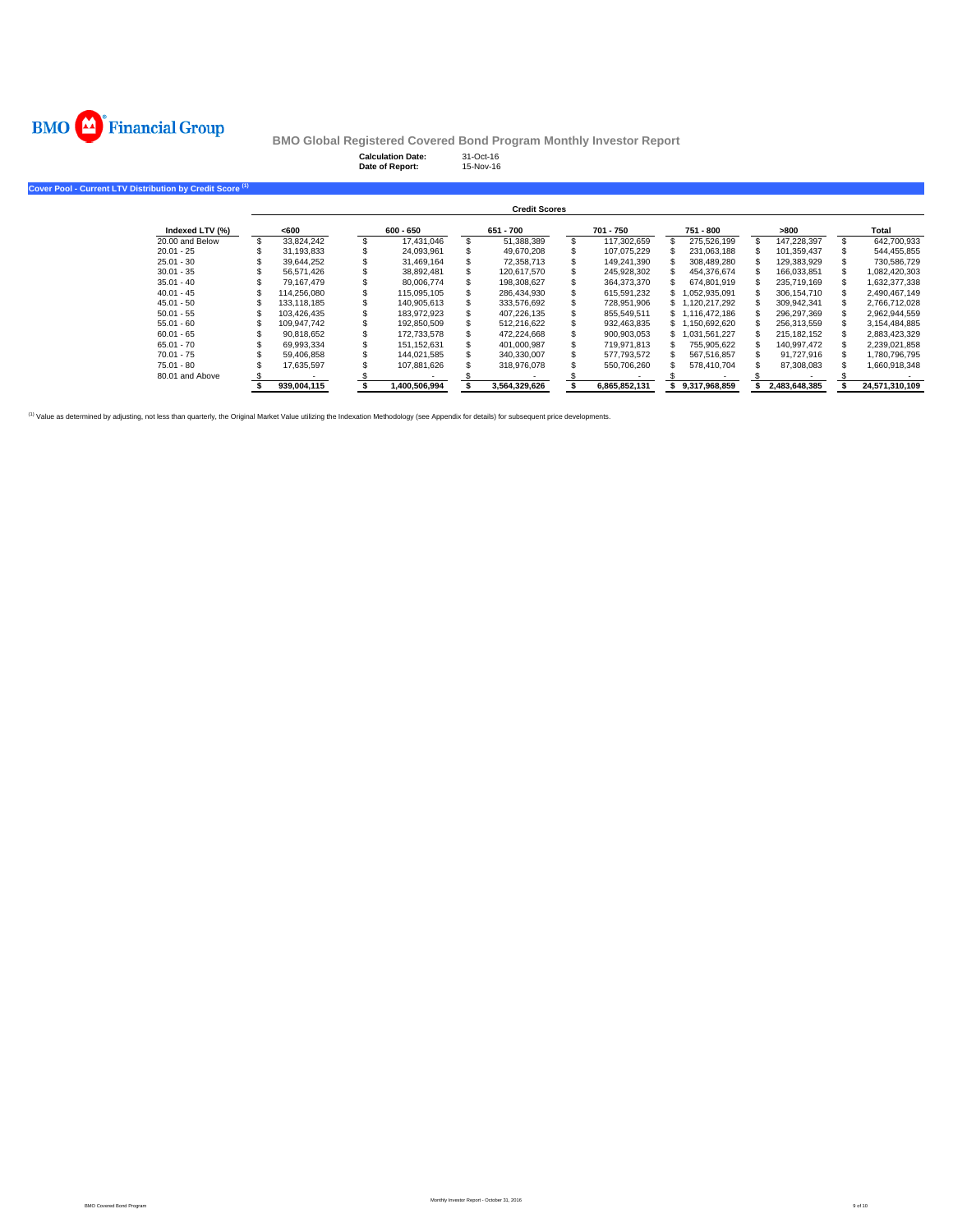

**Calculation Date:** 31-Oct-16 **Date of Report:** 15-Nov-16

| Cover Pool - Current LTV Distribution by Credit Score <sup>(1)</sup> |             |               |                      |               |                 |               |                |
|----------------------------------------------------------------------|-------------|---------------|----------------------|---------------|-----------------|---------------|----------------|
|                                                                      |             |               | <b>Credit Scores</b> |               |                 |               |                |
| Indexed LTV (%)                                                      | <600        | 600 - 650     | 651 - 700            | 701 - 750     | 751 - 800       | >800          | Total          |
| 20.00 and Below                                                      | 33.824.242  | 17.431.046    | 51,388,389           | 117,302,659   | 275.526.199     | 147.228.397   | 642.700.933    |
| $20.01 - 25$                                                         | 31,193,833  | 24,093,961    | 49,670,208           | 107,075,229   | 231.063.188     | 101,359,437   | 544,455,855    |
| $25.01 - 30$                                                         | 39.644.252  | 31,469,164    | 72,358,713           | 149.241.390   | 308.489.280     | 129,383,929   | 730,586,729    |
| $30.01 - 35$                                                         | 56,571,426  | 38.892.481    | 120.617.570          | 245,928,302   | 454.376.674     | 166.033.851   | 1,082,420,303  |
| $35.01 - 40$                                                         | 79.167.479  | 80.006.774    | 198,308,627          | 364,373,370   | 674,801,919     | 235.719.169   | 1,632,377,338  |
| $40.01 - 45$                                                         | 114.256.080 | 115.095.105   | 286,434,930          | 615,591,232   | \$1.052.935.091 | 306.154.710   | 2,490,467,149  |
| $45.01 - 50$                                                         | 133.118.185 | 140.905.613   | 333,576,692          | 728,951,906   | \$1,120,217,292 | 309,942,341   | 2,766,712,028  |
| $50.01 - 55$                                                         | 103.426.435 | 183.972.923   | 407.226.135          | 855.549.511   | \$1.116.472.186 | 296.297.369   | 2,962,944,559  |
| $55.01 - 60$                                                         | 109,947,742 | 192,850,509   | 512,216,622          | 932,463,835   | \$1,150,692,620 | 256,313,559   | 3,154,484,885  |
| $60.01 - 65$                                                         | 90,818,652  | 172,733,578   | 472,224,668          | 900,903,053   | \$1.031.561.227 | 215, 182, 152 | 2,883,423,329  |
| $65.01 - 70$                                                         | 69.993.334  | 151.152.631   | 401.000.987          | 719.971.813   | 755.905.622     | 140.997.472   | 2,239,021,858  |
| $70.01 - 75$                                                         | 59.406.858  | 144.021.585   | 340,330,007          | 577,793,572   | 567.516.857     | 91,727,916    | 1,780,796,795  |
| $75.01 - 80$                                                         | 17,635,597  | 107,881,626   | 318,976,078          | 550,706,260   | 578.410.704     | 87,308,083    | 1,660,918,348  |
| 80.01 and Above                                                      |             |               |                      |               |                 |               |                |
|                                                                      | 939.004.115 | 1,400,506,994 | 3,564,329,626        | 6.865.852.131 | 9.317.968.859   | 2,483,648,385 | 24,571,310,109 |

(1) Value as determined by adjusting, not less than quarterly, the Original Market Value utilizing the Indexation Methodology (see Appendix for details) for subsequent price developments.